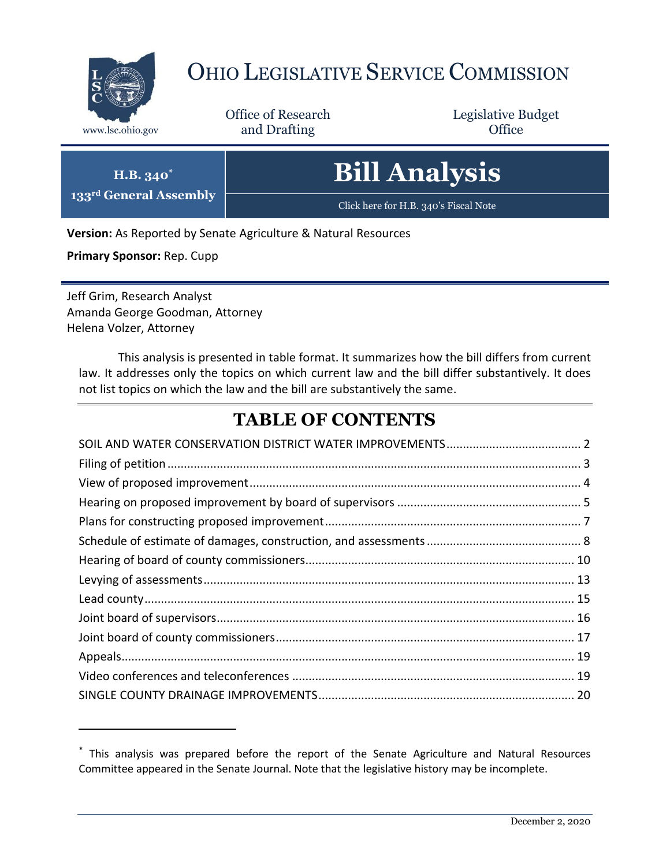

# OHIO LEGISLATIVE SERVICE COMMISSION

Office of Research www.lsc.ohio.gov **and Drafting Office** 

Legislative Budget

|  | <b>Bill Analysis</b> |  |
|--|----------------------|--|
|  |                      |  |

Click here for H.B. 340's Fiscal Note

**Version:** As Reported by Senate Agriculture & Natural Resources

**Primary Sponsor:** Rep. Cupp

 $\overline{a}$ 

**H.B. 340\* 133rd General Assembly**

Jeff Grim, Research Analyst Amanda George Goodman, Attorney Helena Volzer, Attorney

This analysis is presented in table format. It summarizes how the bill differs from current law. It addresses only the topics on which current law and the bill differ substantively. It does not list topics on which the law and the bill are substantively the same.

# **TABLE OF CONTENTS**

<sup>\*</sup> This analysis was prepared before the report of the Senate Agriculture and Natural Resources Committee appeared in the Senate Journal. Note that the legislative history may be incomplete.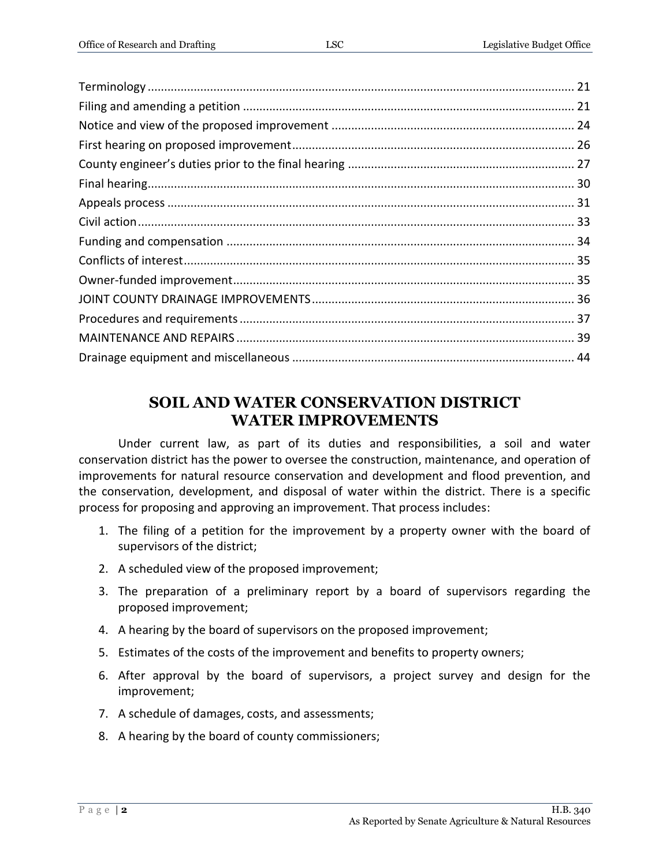#### **SOIL AND WATER CONSERVATION DISTRICT WATER IMPROVEMENTS**

<span id="page-1-0"></span>Under current law, as part of its duties and responsibilities, a soil and water conservation district has the power to oversee the construction, maintenance, and operation of improvements for natural resource conservation and development and flood prevention, and the conservation, development, and disposal of water within the district. There is a specific process for proposing and approving an improvement. That process includes:

- 1. The filing of a petition for the improvement by a property owner with the board of supervisors of the district;
- 2. A scheduled view of the proposed improvement;
- 3. The preparation of a preliminary report by a board of supervisors regarding the proposed improvement;
- 4. A hearing by the board of supervisors on the proposed improvement;
- 5. Estimates of the costs of the improvement and benefits to property owners;
- 6. After approval by the board of supervisors, a project survey and design for the improvement;
- 7. A schedule of damages, costs, and assessments;
- 8. A hearing by the board of county commissioners;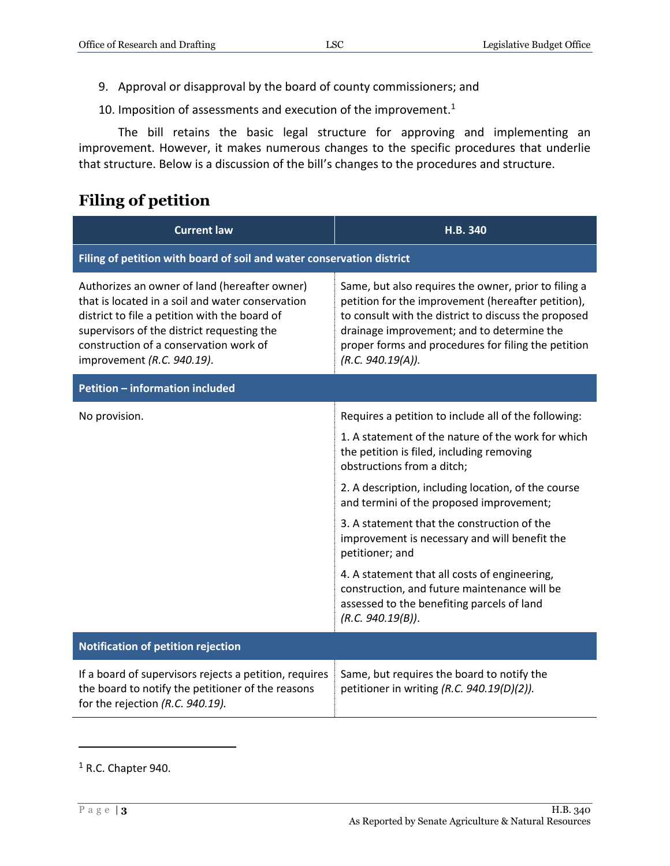- 9. Approval or disapproval by the board of county commissioners; and
- 10. Imposition of assessments and execution of the improvement.<sup>1</sup>

The bill retains the basic legal structure for approving and implementing an improvement. However, it makes numerous changes to the specific procedures that underlie that structure. Below is a discussion of the bill's changes to the procedures and structure.

#### <span id="page-2-0"></span>**Filing of petition**

| <b>Current law</b>                                                                                                                                                                                                                                                       | H.B. 340                                                                                                                                                                                                                                                                                     |  |
|--------------------------------------------------------------------------------------------------------------------------------------------------------------------------------------------------------------------------------------------------------------------------|----------------------------------------------------------------------------------------------------------------------------------------------------------------------------------------------------------------------------------------------------------------------------------------------|--|
| Filing of petition with board of soil and water conservation district                                                                                                                                                                                                    |                                                                                                                                                                                                                                                                                              |  |
| Authorizes an owner of land (hereafter owner)<br>that is located in a soil and water conservation<br>district to file a petition with the board of<br>supervisors of the district requesting the<br>construction of a conservation work of<br>improvement (R.C. 940.19). | Same, but also requires the owner, prior to filing a<br>petition for the improvement (hereafter petition),<br>to consult with the district to discuss the proposed<br>drainage improvement; and to determine the<br>proper forms and procedures for filing the petition<br>(R.C. 940.19(A)). |  |
| <b>Petition - information included</b>                                                                                                                                                                                                                                   |                                                                                                                                                                                                                                                                                              |  |
| No provision.                                                                                                                                                                                                                                                            | Requires a petition to include all of the following:                                                                                                                                                                                                                                         |  |
|                                                                                                                                                                                                                                                                          | 1. A statement of the nature of the work for which<br>the petition is filed, including removing<br>obstructions from a ditch;                                                                                                                                                                |  |
|                                                                                                                                                                                                                                                                          | 2. A description, including location, of the course<br>and termini of the proposed improvement;                                                                                                                                                                                              |  |
|                                                                                                                                                                                                                                                                          | 3. A statement that the construction of the<br>improvement is necessary and will benefit the<br>petitioner; and                                                                                                                                                                              |  |
|                                                                                                                                                                                                                                                                          | 4. A statement that all costs of engineering,<br>construction, and future maintenance will be<br>assessed to the benefiting parcels of land<br>(R.C. 940.19(B)).                                                                                                                             |  |
| <b>Notification of petition rejection</b>                                                                                                                                                                                                                                |                                                                                                                                                                                                                                                                                              |  |
| If a board of supervisors rejects a petition, requires<br>the board to notify the petitioner of the reasons<br>for the rejection (R.C. 940.19).                                                                                                                          | Same, but requires the board to notify the<br>petitioner in writing (R.C. 940.19(D)(2)).                                                                                                                                                                                                     |  |

 $\overline{a}$ 

 $1$  R.C. Chapter 940.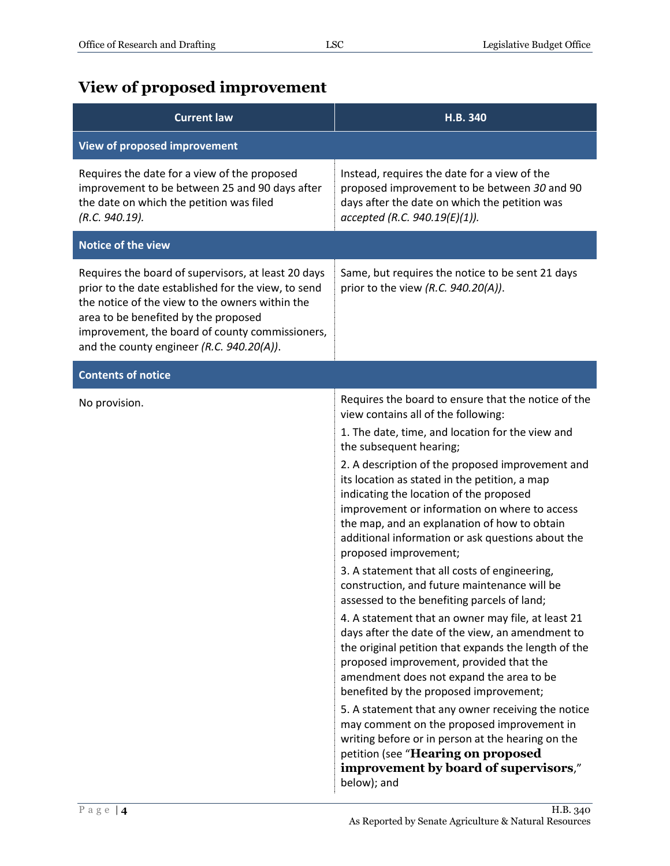# <span id="page-3-0"></span>**View of proposed improvement**

| <b>Current law</b>                                                                                                                                                                                                                                                                                    | H.B. 340                                                                                                                                                                                                                                                                                                                                                                                                                                                                                                                                                                                                                                                                                                                                                                                                                                                                                                                                                                                                                                                                                                                                                                                                           |
|-------------------------------------------------------------------------------------------------------------------------------------------------------------------------------------------------------------------------------------------------------------------------------------------------------|--------------------------------------------------------------------------------------------------------------------------------------------------------------------------------------------------------------------------------------------------------------------------------------------------------------------------------------------------------------------------------------------------------------------------------------------------------------------------------------------------------------------------------------------------------------------------------------------------------------------------------------------------------------------------------------------------------------------------------------------------------------------------------------------------------------------------------------------------------------------------------------------------------------------------------------------------------------------------------------------------------------------------------------------------------------------------------------------------------------------------------------------------------------------------------------------------------------------|
| View of proposed improvement                                                                                                                                                                                                                                                                          |                                                                                                                                                                                                                                                                                                                                                                                                                                                                                                                                                                                                                                                                                                                                                                                                                                                                                                                                                                                                                                                                                                                                                                                                                    |
| Requires the date for a view of the proposed<br>improvement to be between 25 and 90 days after<br>the date on which the petition was filed<br>(R.C. 940.19).                                                                                                                                          | Instead, requires the date for a view of the<br>proposed improvement to be between 30 and 90<br>days after the date on which the petition was<br>accepted (R.C. 940.19(E)(1)).                                                                                                                                                                                                                                                                                                                                                                                                                                                                                                                                                                                                                                                                                                                                                                                                                                                                                                                                                                                                                                     |
| <b>Notice of the view</b>                                                                                                                                                                                                                                                                             |                                                                                                                                                                                                                                                                                                                                                                                                                                                                                                                                                                                                                                                                                                                                                                                                                                                                                                                                                                                                                                                                                                                                                                                                                    |
| Requires the board of supervisors, at least 20 days<br>prior to the date established for the view, to send<br>the notice of the view to the owners within the<br>area to be benefited by the proposed<br>improvement, the board of county commissioners,<br>and the county engineer (R.C. 940.20(A)). | Same, but requires the notice to be sent 21 days<br>prior to the view (R.C. $940.20(A)$ ).                                                                                                                                                                                                                                                                                                                                                                                                                                                                                                                                                                                                                                                                                                                                                                                                                                                                                                                                                                                                                                                                                                                         |
| <b>Contents of notice</b>                                                                                                                                                                                                                                                                             |                                                                                                                                                                                                                                                                                                                                                                                                                                                                                                                                                                                                                                                                                                                                                                                                                                                                                                                                                                                                                                                                                                                                                                                                                    |
| No provision.                                                                                                                                                                                                                                                                                         | Requires the board to ensure that the notice of the<br>view contains all of the following:<br>1. The date, time, and location for the view and<br>the subsequent hearing;<br>2. A description of the proposed improvement and<br>its location as stated in the petition, a map<br>indicating the location of the proposed<br>improvement or information on where to access<br>the map, and an explanation of how to obtain<br>additional information or ask questions about the<br>proposed improvement;<br>3. A statement that all costs of engineering,<br>construction, and future maintenance will be<br>assessed to the benefiting parcels of land;<br>4. A statement that an owner may file, at least 21<br>days after the date of the view, an amendment to<br>the original petition that expands the length of the<br>proposed improvement, provided that the<br>amendment does not expand the area to be<br>benefited by the proposed improvement;<br>5. A statement that any owner receiving the notice<br>may comment on the proposed improvement in<br>writing before or in person at the hearing on the<br>petition (see "Hearing on proposed<br>improvement by board of supervisors,"<br>below); and |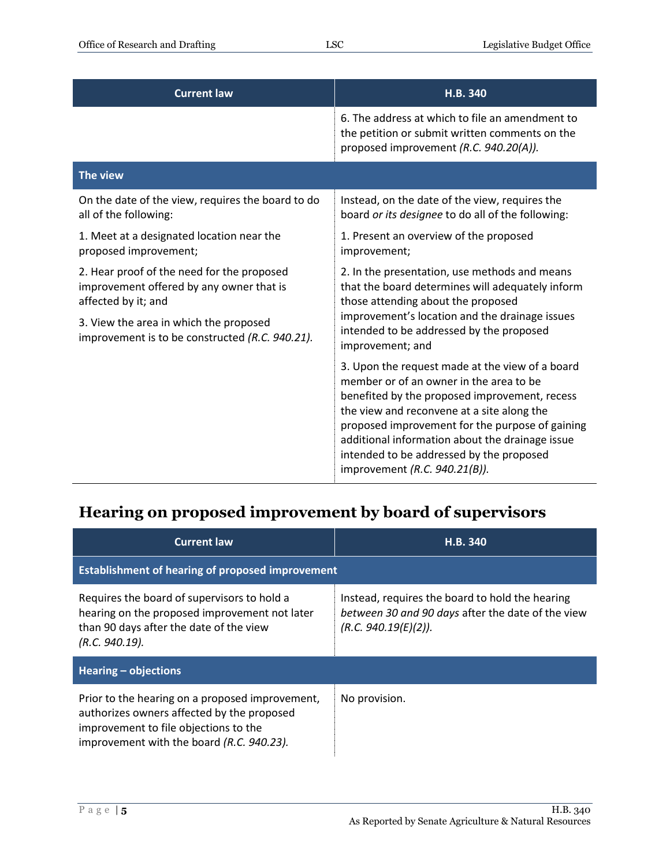| <b>Current law</b>                                                                                            | H.B. 340                                                                                                                                                                                                                                                                                                                                                                     |
|---------------------------------------------------------------------------------------------------------------|------------------------------------------------------------------------------------------------------------------------------------------------------------------------------------------------------------------------------------------------------------------------------------------------------------------------------------------------------------------------------|
|                                                                                                               | 6. The address at which to file an amendment to<br>the petition or submit written comments on the<br>proposed improvement (R.C. 940.20(A)).                                                                                                                                                                                                                                  |
| The view                                                                                                      |                                                                                                                                                                                                                                                                                                                                                                              |
| On the date of the view, requires the board to do<br>all of the following:                                    | Instead, on the date of the view, requires the<br>board or its designee to do all of the following:                                                                                                                                                                                                                                                                          |
| 1. Meet at a designated location near the<br>proposed improvement;                                            | 1. Present an overview of the proposed<br>improvement;                                                                                                                                                                                                                                                                                                                       |
| 2. Hear proof of the need for the proposed<br>improvement offered by any owner that is<br>affected by it; and | 2. In the presentation, use methods and means<br>that the board determines will adequately inform<br>those attending about the proposed                                                                                                                                                                                                                                      |
| 3. View the area in which the proposed<br>improvement is to be constructed (R.C. 940.21).                     | improvement's location and the drainage issues<br>intended to be addressed by the proposed<br>improvement; and                                                                                                                                                                                                                                                               |
|                                                                                                               | 3. Upon the request made at the view of a board<br>member or of an owner in the area to be<br>benefited by the proposed improvement, recess<br>the view and reconvene at a site along the<br>proposed improvement for the purpose of gaining<br>additional information about the drainage issue<br>intended to be addressed by the proposed<br>improvement (R.C. 940.21(B)). |

#### <span id="page-4-0"></span>**Hearing on proposed improvement by board of supervisors**

| <b>Current law</b>                                                                                                                                                                  | H.B. 340                                                                                                                     |  |
|-------------------------------------------------------------------------------------------------------------------------------------------------------------------------------------|------------------------------------------------------------------------------------------------------------------------------|--|
| <b>Establishment of hearing of proposed improvement</b>                                                                                                                             |                                                                                                                              |  |
| Requires the board of supervisors to hold a<br>hearing on the proposed improvement not later<br>than 90 days after the date of the view<br>(R.C. 940.19).                           | Instead, requires the board to hold the hearing<br>between 30 and 90 days after the date of the view<br>(R.C. 940.19(E)(2)). |  |
| Hearing $-$ objections                                                                                                                                                              |                                                                                                                              |  |
| Prior to the hearing on a proposed improvement,<br>authorizes owners affected by the proposed<br>improvement to file objections to the<br>improvement with the board (R.C. 940.23). | No provision.                                                                                                                |  |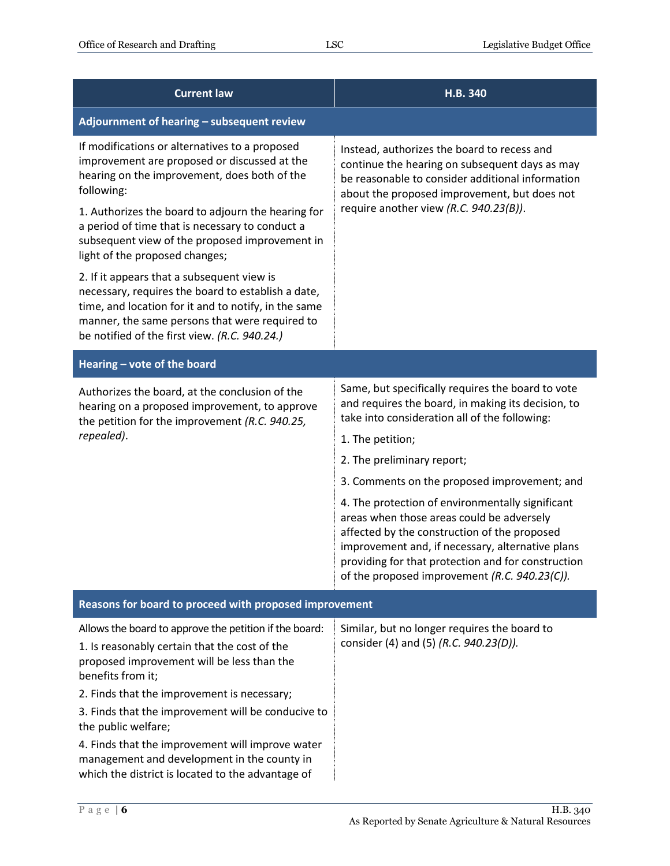| <b>Current law</b>                                                                                                                                                                                                                                          | H.B. 340                                                                                                                                                                                                                                                                                                 |  |
|-------------------------------------------------------------------------------------------------------------------------------------------------------------------------------------------------------------------------------------------------------------|----------------------------------------------------------------------------------------------------------------------------------------------------------------------------------------------------------------------------------------------------------------------------------------------------------|--|
| Adjournment of hearing - subsequent review                                                                                                                                                                                                                  |                                                                                                                                                                                                                                                                                                          |  |
| If modifications or alternatives to a proposed<br>improvement are proposed or discussed at the<br>hearing on the improvement, does both of the<br>following:                                                                                                | Instead, authorizes the board to recess and<br>continue the hearing on subsequent days as may<br>be reasonable to consider additional information<br>about the proposed improvement, but does not                                                                                                        |  |
| 1. Authorizes the board to adjourn the hearing for<br>a period of time that is necessary to conduct a<br>subsequent view of the proposed improvement in<br>light of the proposed changes;                                                                   | require another view (R.C. 940.23(B)).                                                                                                                                                                                                                                                                   |  |
| 2. If it appears that a subsequent view is<br>necessary, requires the board to establish a date,<br>time, and location for it and to notify, in the same<br>manner, the same persons that were required to<br>be notified of the first view. (R.C. 940.24.) |                                                                                                                                                                                                                                                                                                          |  |
| Hearing - vote of the board                                                                                                                                                                                                                                 |                                                                                                                                                                                                                                                                                                          |  |
| Authorizes the board, at the conclusion of the<br>hearing on a proposed improvement, to approve<br>the petition for the improvement (R.C. 940.25,<br>repealed).                                                                                             | Same, but specifically requires the board to vote<br>and requires the board, in making its decision, to<br>take into consideration all of the following:<br>1. The petition;                                                                                                                             |  |
|                                                                                                                                                                                                                                                             | 2. The preliminary report;                                                                                                                                                                                                                                                                               |  |
|                                                                                                                                                                                                                                                             | 3. Comments on the proposed improvement; and                                                                                                                                                                                                                                                             |  |
|                                                                                                                                                                                                                                                             | 4. The protection of environmentally significant<br>areas when those areas could be adversely<br>affected by the construction of the proposed<br>improvement and, if necessary, alternative plans<br>providing for that protection and for construction<br>of the proposed improvement (R.C. 940.23(C)). |  |
| Reasons for board to proceed with proposed improvement                                                                                                                                                                                                      |                                                                                                                                                                                                                                                                                                          |  |
| Allows the board to approve the petition if the board:<br>1. Is reasonably certain that the cost of the<br>proposed improvement will be less than the<br>benefits from it;                                                                                  | Similar, but no longer requires the board to<br>consider (4) and (5) (R.C. 940.23(D)).                                                                                                                                                                                                                   |  |
| 2. Finds that the improvement is necessary;                                                                                                                                                                                                                 |                                                                                                                                                                                                                                                                                                          |  |
| 3. Finds that the improvement will be conducive to<br>the public welfare;                                                                                                                                                                                   |                                                                                                                                                                                                                                                                                                          |  |
| 4. Finds that the improvement will improve water<br>management and development in the county in<br>which the district is located to the advantage of                                                                                                        |                                                                                                                                                                                                                                                                                                          |  |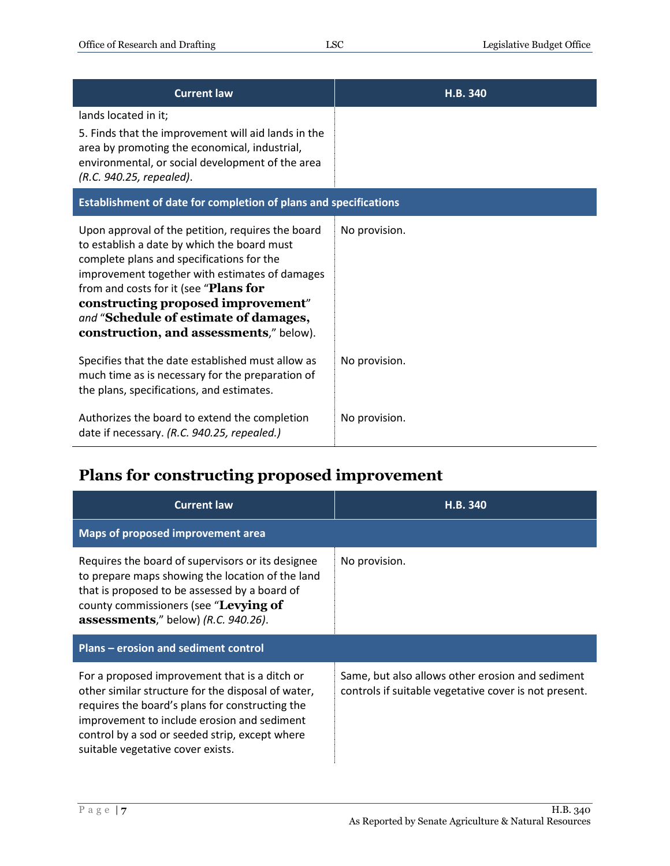| <b>Current law</b>                                                                                                                                                                                                                                                                                                                                                 | H.B. 340      |  |
|--------------------------------------------------------------------------------------------------------------------------------------------------------------------------------------------------------------------------------------------------------------------------------------------------------------------------------------------------------------------|---------------|--|
| lands located in it;<br>5. Finds that the improvement will aid lands in the<br>area by promoting the economical, industrial,<br>environmental, or social development of the area<br>(R.C. 940.25, repealed).                                                                                                                                                       |               |  |
| Establishment of date for completion of plans and specifications                                                                                                                                                                                                                                                                                                   |               |  |
| Upon approval of the petition, requires the board<br>to establish a date by which the board must<br>complete plans and specifications for the<br>improvement together with estimates of damages<br>from and costs for it (see "Plans for<br>constructing proposed improvement"<br>and "Schedule of estimate of damages,<br>construction, and assessments," below). | No provision. |  |
| Specifies that the date established must allow as<br>much time as is necessary for the preparation of<br>the plans, specifications, and estimates.                                                                                                                                                                                                                 | No provision. |  |
| Authorizes the board to extend the completion<br>date if necessary. (R.C. 940.25, repealed.)                                                                                                                                                                                                                                                                       | No provision. |  |

### <span id="page-6-0"></span>**Plans for constructing proposed improvement**

| <b>Current law</b>                                                                                                                                                                                                                                                                           | H.B. 340                                                                                                  |
|----------------------------------------------------------------------------------------------------------------------------------------------------------------------------------------------------------------------------------------------------------------------------------------------|-----------------------------------------------------------------------------------------------------------|
| Maps of proposed improvement area                                                                                                                                                                                                                                                            |                                                                                                           |
| Requires the board of supervisors or its designee<br>to prepare maps showing the location of the land<br>that is proposed to be assessed by a board of<br>county commissioners (see "Levying of<br>assessments," below) (R.C. 940.26).                                                       | No provision.                                                                                             |
| Plans – erosion and sediment control                                                                                                                                                                                                                                                         |                                                                                                           |
| For a proposed improvement that is a ditch or<br>other similar structure for the disposal of water,<br>requires the board's plans for constructing the<br>improvement to include erosion and sediment<br>control by a sod or seeded strip, except where<br>suitable vegetative cover exists. | Same, but also allows other erosion and sediment<br>controls if suitable vegetative cover is not present. |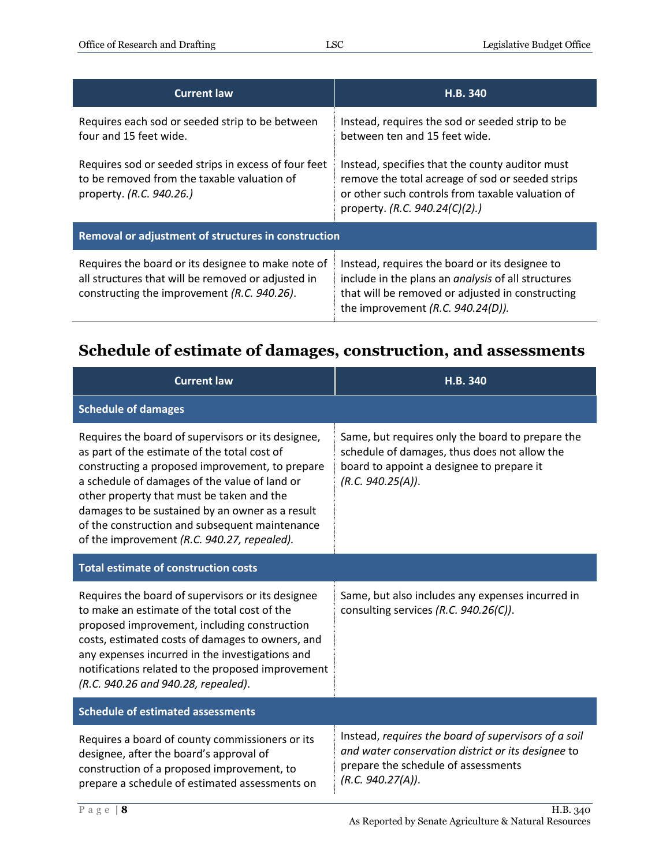| <b>Current law</b>                                                                                                                                      | H.B. 340                                                                                                                                                                                                |  |
|---------------------------------------------------------------------------------------------------------------------------------------------------------|---------------------------------------------------------------------------------------------------------------------------------------------------------------------------------------------------------|--|
| Requires each sod or seeded strip to be between<br>four and 15 feet wide.                                                                               | Instead, requires the sod or seeded strip to be<br>between ten and 15 feet wide.                                                                                                                        |  |
| Requires sod or seeded strips in excess of four feet<br>to be removed from the taxable valuation of<br>property. (R.C. 940.26.)                         | Instead, specifies that the county auditor must<br>remove the total acreage of sod or seeded strips<br>or other such controls from taxable valuation of<br>property. (R.C. 940.24(C)(2).)               |  |
| Removal or adjustment of structures in construction                                                                                                     |                                                                                                                                                                                                         |  |
| Requires the board or its designee to make note of<br>all structures that will be removed or adjusted in<br>constructing the improvement (R.C. 940.26). | Instead, requires the board or its designee to<br>include in the plans an <i>analysis</i> of all structures<br>that will be removed or adjusted in constructing<br>the improvement $(R.C. 940.24(D))$ . |  |

#### <span id="page-7-0"></span>**Schedule of estimate of damages, construction, and assessments**

| <b>Current law</b>                                                                                                                                                                                                                                                                                                                                                                                      | H.B. 340                                                                                                                                                               |  |
|---------------------------------------------------------------------------------------------------------------------------------------------------------------------------------------------------------------------------------------------------------------------------------------------------------------------------------------------------------------------------------------------------------|------------------------------------------------------------------------------------------------------------------------------------------------------------------------|--|
| <b>Schedule of damages</b>                                                                                                                                                                                                                                                                                                                                                                              |                                                                                                                                                                        |  |
| Requires the board of supervisors or its designee,<br>as part of the estimate of the total cost of<br>constructing a proposed improvement, to prepare<br>a schedule of damages of the value of land or<br>other property that must be taken and the<br>damages to be sustained by an owner as a result<br>of the construction and subsequent maintenance<br>of the improvement (R.C. 940.27, repealed). | Same, but requires only the board to prepare the<br>schedule of damages, thus does not allow the<br>board to appoint a designee to prepare it<br>(R.C. 940.25(A)).     |  |
| <b>Total estimate of construction costs</b>                                                                                                                                                                                                                                                                                                                                                             |                                                                                                                                                                        |  |
| Requires the board of supervisors or its designee<br>to make an estimate of the total cost of the<br>proposed improvement, including construction<br>costs, estimated costs of damages to owners, and<br>any expenses incurred in the investigations and<br>notifications related to the proposed improvement<br>(R.C. 940.26 and 940.28, repealed).                                                    | Same, but also includes any expenses incurred in<br>consulting services (R.C. 940.26(C)).                                                                              |  |
| <b>Schedule of estimated assessments</b>                                                                                                                                                                                                                                                                                                                                                                |                                                                                                                                                                        |  |
| Requires a board of county commissioners or its<br>designee, after the board's approval of<br>construction of a proposed improvement, to<br>prepare a schedule of estimated assessments on                                                                                                                                                                                                              | Instead, requires the board of supervisors of a soil<br>and water conservation district or its designee to<br>prepare the schedule of assessments<br>(R.C. 940.27(A)). |  |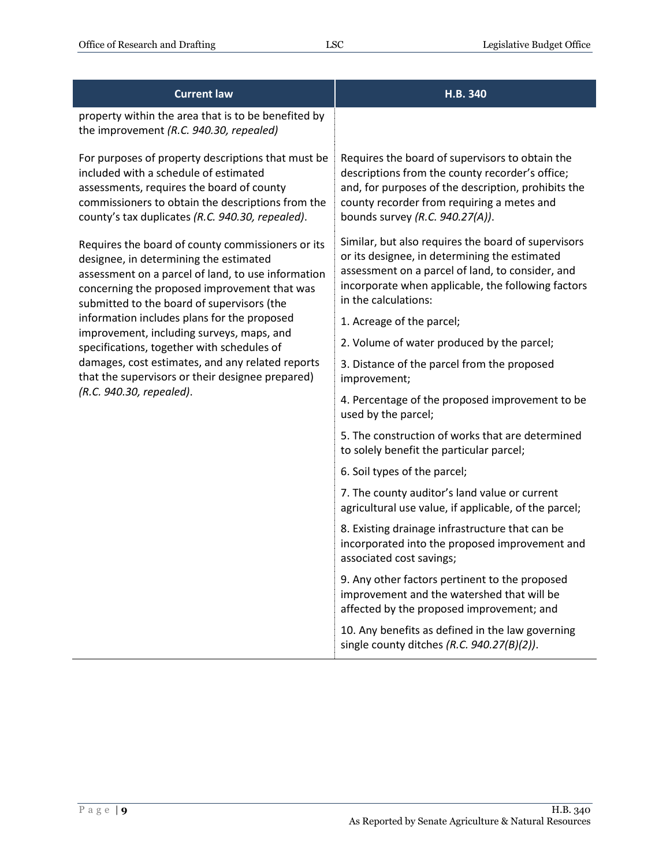| <b>Current law</b>                                                                                                                                                                                                                                | H.B. 340                                                                                                                                                                                                                                   |
|---------------------------------------------------------------------------------------------------------------------------------------------------------------------------------------------------------------------------------------------------|--------------------------------------------------------------------------------------------------------------------------------------------------------------------------------------------------------------------------------------------|
| property within the area that is to be benefited by<br>the improvement (R.C. 940.30, repealed)                                                                                                                                                    |                                                                                                                                                                                                                                            |
| For purposes of property descriptions that must be<br>included with a schedule of estimated<br>assessments, requires the board of county<br>commissioners to obtain the descriptions from the<br>county's tax duplicates (R.C. 940.30, repealed). | Requires the board of supervisors to obtain the<br>descriptions from the county recorder's office;<br>and, for purposes of the description, prohibits the<br>county recorder from requiring a metes and<br>bounds survey (R.C. 940.27(A)). |
| Requires the board of county commissioners or its<br>designee, in determining the estimated<br>assessment on a parcel of land, to use information<br>concerning the proposed improvement that was<br>submitted to the board of supervisors (the   | Similar, but also requires the board of supervisors<br>or its designee, in determining the estimated<br>assessment on a parcel of land, to consider, and<br>incorporate when applicable, the following factors<br>in the calculations:     |
| information includes plans for the proposed<br>improvement, including surveys, maps, and                                                                                                                                                          | 1. Acreage of the parcel;                                                                                                                                                                                                                  |
| specifications, together with schedules of                                                                                                                                                                                                        | 2. Volume of water produced by the parcel;                                                                                                                                                                                                 |
| damages, cost estimates, and any related reports<br>that the supervisors or their designee prepared)                                                                                                                                              | 3. Distance of the parcel from the proposed<br>improvement;                                                                                                                                                                                |
| (R.C. 940.30, repealed).                                                                                                                                                                                                                          | 4. Percentage of the proposed improvement to be<br>used by the parcel;                                                                                                                                                                     |
|                                                                                                                                                                                                                                                   | 5. The construction of works that are determined<br>to solely benefit the particular parcel;                                                                                                                                               |
|                                                                                                                                                                                                                                                   | 6. Soil types of the parcel;                                                                                                                                                                                                               |
|                                                                                                                                                                                                                                                   | 7. The county auditor's land value or current<br>agricultural use value, if applicable, of the parcel;                                                                                                                                     |
|                                                                                                                                                                                                                                                   | 8. Existing drainage infrastructure that can be<br>incorporated into the proposed improvement and<br>associated cost savings;                                                                                                              |
|                                                                                                                                                                                                                                                   | 9. Any other factors pertinent to the proposed<br>improvement and the watershed that will be<br>affected by the proposed improvement; and                                                                                                  |
|                                                                                                                                                                                                                                                   | 10. Any benefits as defined in the law governing<br>single county ditches $(R.C. 940.27(B)(2)).$                                                                                                                                           |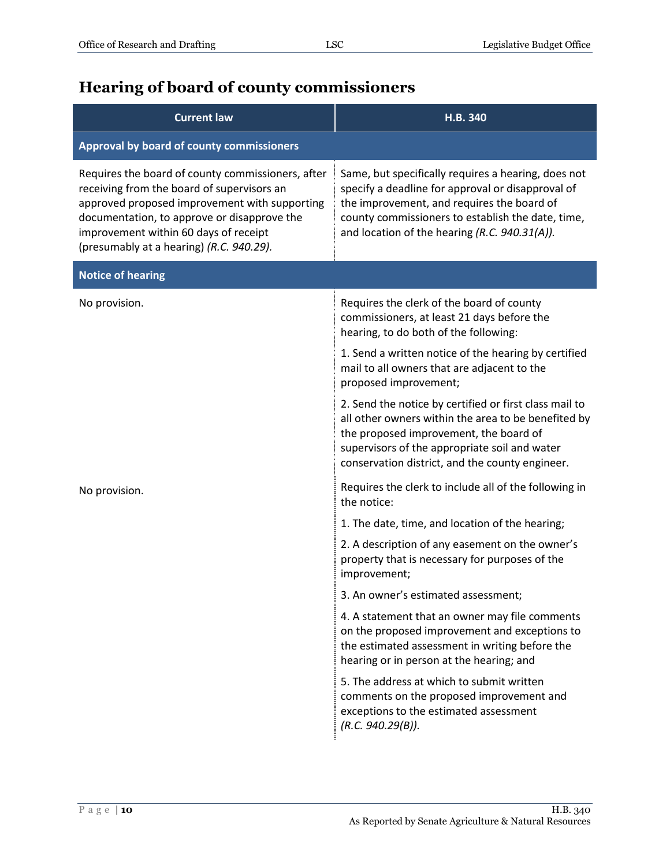#### <span id="page-9-0"></span>**Hearing of board of county commissioners**

| <b>Current law</b>                                                                                                                                                                                                                                                                   | H.B. 340                                                                                                                                                                                                                                                     |
|--------------------------------------------------------------------------------------------------------------------------------------------------------------------------------------------------------------------------------------------------------------------------------------|--------------------------------------------------------------------------------------------------------------------------------------------------------------------------------------------------------------------------------------------------------------|
| Approval by board of county commissioners                                                                                                                                                                                                                                            |                                                                                                                                                                                                                                                              |
| Requires the board of county commissioners, after<br>receiving from the board of supervisors an<br>approved proposed improvement with supporting<br>documentation, to approve or disapprove the<br>improvement within 60 days of receipt<br>(presumably at a hearing) (R.C. 940.29). | Same, but specifically requires a hearing, does not<br>specify a deadline for approval or disapproval of<br>the improvement, and requires the board of<br>county commissioners to establish the date, time,<br>and location of the hearing (R.C. 940.31(A)). |
| <b>Notice of hearing</b>                                                                                                                                                                                                                                                             |                                                                                                                                                                                                                                                              |
| No provision.                                                                                                                                                                                                                                                                        | Requires the clerk of the board of county<br>commissioners, at least 21 days before the<br>hearing, to do both of the following:                                                                                                                             |
|                                                                                                                                                                                                                                                                                      | 1. Send a written notice of the hearing by certified<br>mail to all owners that are adjacent to the<br>proposed improvement;                                                                                                                                 |
|                                                                                                                                                                                                                                                                                      | 2. Send the notice by certified or first class mail to<br>all other owners within the area to be benefited by<br>the proposed improvement, the board of<br>supervisors of the appropriate soil and water<br>conservation district, and the county engineer.  |
| No provision.                                                                                                                                                                                                                                                                        | Requires the clerk to include all of the following in<br>the notice:                                                                                                                                                                                         |
|                                                                                                                                                                                                                                                                                      | 1. The date, time, and location of the hearing;                                                                                                                                                                                                              |
|                                                                                                                                                                                                                                                                                      | 2. A description of any easement on the owner's<br>property that is necessary for purposes of the<br>improvement;                                                                                                                                            |
|                                                                                                                                                                                                                                                                                      | 3. An owner's estimated assessment;                                                                                                                                                                                                                          |
|                                                                                                                                                                                                                                                                                      | 4. A statement that an owner may file comments<br>on the proposed improvement and exceptions to<br>the estimated assessment in writing before the<br>hearing or in person at the hearing; and                                                                |
|                                                                                                                                                                                                                                                                                      | 5. The address at which to submit written<br>comments on the proposed improvement and<br>exceptions to the estimated assessment<br>(R.C. 940.29(B)).                                                                                                         |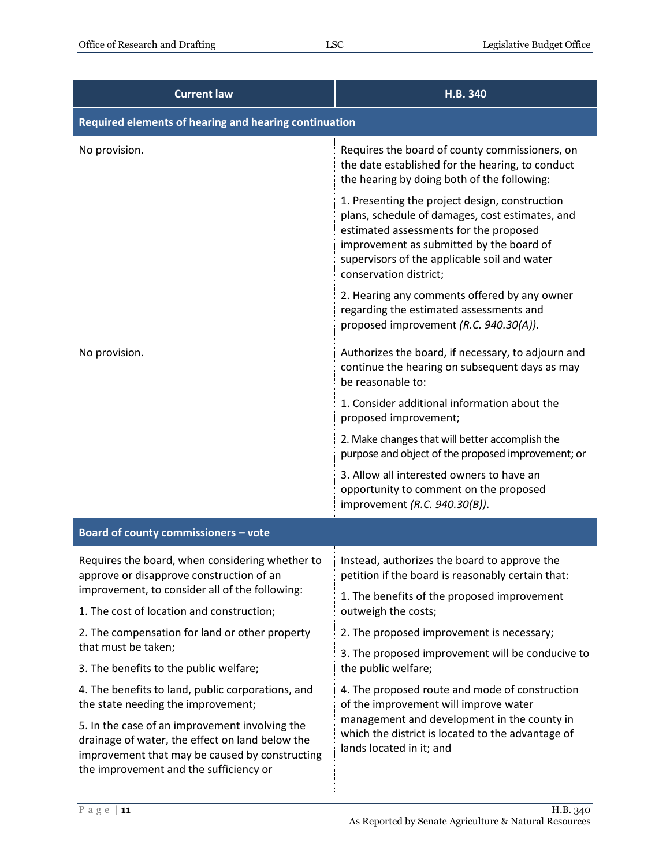| <b>Current law</b>                                                                                                                                                                            | H.B. 340                                                                                                                                                                                                                                                          |  |
|-----------------------------------------------------------------------------------------------------------------------------------------------------------------------------------------------|-------------------------------------------------------------------------------------------------------------------------------------------------------------------------------------------------------------------------------------------------------------------|--|
| Required elements of hearing and hearing continuation                                                                                                                                         |                                                                                                                                                                                                                                                                   |  |
| No provision.                                                                                                                                                                                 | Requires the board of county commissioners, on<br>the date established for the hearing, to conduct<br>the hearing by doing both of the following:                                                                                                                 |  |
|                                                                                                                                                                                               | 1. Presenting the project design, construction<br>plans, schedule of damages, cost estimates, and<br>estimated assessments for the proposed<br>improvement as submitted by the board of<br>supervisors of the applicable soil and water<br>conservation district; |  |
|                                                                                                                                                                                               | 2. Hearing any comments offered by any owner<br>regarding the estimated assessments and<br>proposed improvement (R.C. 940.30(A)).                                                                                                                                 |  |
| No provision.                                                                                                                                                                                 | Authorizes the board, if necessary, to adjourn and<br>continue the hearing on subsequent days as may<br>be reasonable to:                                                                                                                                         |  |
|                                                                                                                                                                                               | 1. Consider additional information about the<br>proposed improvement;                                                                                                                                                                                             |  |
|                                                                                                                                                                                               | 2. Make changes that will better accomplish the<br>purpose and object of the proposed improvement; or                                                                                                                                                             |  |
|                                                                                                                                                                                               | 3. Allow all interested owners to have an<br>opportunity to comment on the proposed<br>improvement (R.C. 940.30(B)).                                                                                                                                              |  |
| Board of county commissioners - vote                                                                                                                                                          |                                                                                                                                                                                                                                                                   |  |
| Requires the board, when considering whether to<br>approve or disapprove construction of an                                                                                                   | Instead, authorizes the board to approve the<br>petition if the board is reasonably certain that:                                                                                                                                                                 |  |
| improvement, to consider all of the following:<br>1. The cost of location and construction;                                                                                                   | 1. The benefits of the proposed improvement<br>outweigh the costs;                                                                                                                                                                                                |  |
| 2. The compensation for land or other property                                                                                                                                                | 2. The proposed improvement is necessary;                                                                                                                                                                                                                         |  |
| that must be taken;<br>3. The benefits to the public welfare;                                                                                                                                 | 3. The proposed improvement will be conducive to<br>the public welfare;                                                                                                                                                                                           |  |
| 4. The benefits to land, public corporations, and                                                                                                                                             | 4. The proposed route and mode of construction                                                                                                                                                                                                                    |  |
| the state needing the improvement;                                                                                                                                                            | of the improvement will improve water<br>management and development in the county in                                                                                                                                                                              |  |
| 5. In the case of an improvement involving the<br>drainage of water, the effect on land below the<br>improvement that may be caused by constructing<br>the improvement and the sufficiency or | which the district is located to the advantage of<br>lands located in it; and                                                                                                                                                                                     |  |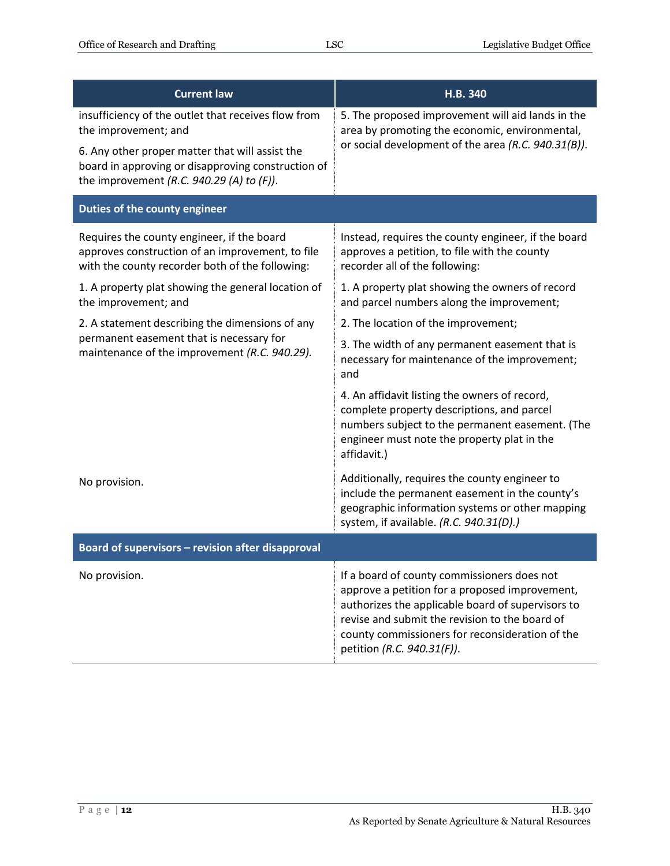| <b>Current law</b>                                                                                                                                                                                                                   | H.B. 340                                                                                                                                                                                                                                                                              |
|--------------------------------------------------------------------------------------------------------------------------------------------------------------------------------------------------------------------------------------|---------------------------------------------------------------------------------------------------------------------------------------------------------------------------------------------------------------------------------------------------------------------------------------|
| insufficiency of the outlet that receives flow from<br>the improvement; and<br>6. Any other proper matter that will assist the<br>board in approving or disapproving construction of<br>the improvement (R.C. 940.29 (A) to $(F)$ ). | 5. The proposed improvement will aid lands in the<br>area by promoting the economic, environmental,<br>or social development of the area (R.C. 940.31(B)).                                                                                                                            |
| Duties of the county engineer                                                                                                                                                                                                        |                                                                                                                                                                                                                                                                                       |
| Requires the county engineer, if the board<br>approves construction of an improvement, to file<br>with the county recorder both of the following:                                                                                    | Instead, requires the county engineer, if the board<br>approves a petition, to file with the county<br>recorder all of the following:                                                                                                                                                 |
| 1. A property plat showing the general location of<br>the improvement; and                                                                                                                                                           | 1. A property plat showing the owners of record<br>and parcel numbers along the improvement;                                                                                                                                                                                          |
| 2. A statement describing the dimensions of any<br>permanent easement that is necessary for<br>maintenance of the improvement (R.C. 940.29).                                                                                         | 2. The location of the improvement;                                                                                                                                                                                                                                                   |
|                                                                                                                                                                                                                                      | 3. The width of any permanent easement that is<br>necessary for maintenance of the improvement;<br>and                                                                                                                                                                                |
|                                                                                                                                                                                                                                      | 4. An affidavit listing the owners of record,<br>complete property descriptions, and parcel<br>numbers subject to the permanent easement. (The<br>engineer must note the property plat in the<br>affidavit.)                                                                          |
| No provision.                                                                                                                                                                                                                        | Additionally, requires the county engineer to<br>include the permanent easement in the county's<br>geographic information systems or other mapping<br>system, if available. (R.C. 940.31(D).)                                                                                         |
| Board of supervisors - revision after disapproval                                                                                                                                                                                    |                                                                                                                                                                                                                                                                                       |
| No provision.                                                                                                                                                                                                                        | If a board of county commissioners does not<br>approve a petition for a proposed improvement,<br>authorizes the applicable board of supervisors to<br>revise and submit the revision to the board of<br>county commissioners for reconsideration of the<br>petition (R.C. 940.31(F)). |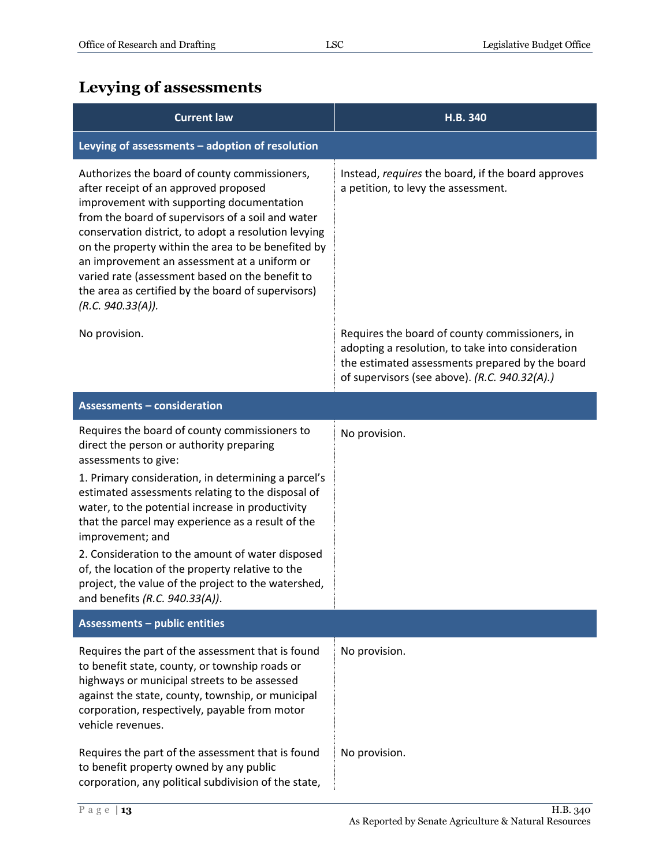# <span id="page-12-0"></span>**Levying of assessments**

| <b>Current law</b>                                                                                                                                                                                                                                                                                                                                                                                                                                                                   | H.B. 340                                                                                                                                                                                                |
|--------------------------------------------------------------------------------------------------------------------------------------------------------------------------------------------------------------------------------------------------------------------------------------------------------------------------------------------------------------------------------------------------------------------------------------------------------------------------------------|---------------------------------------------------------------------------------------------------------------------------------------------------------------------------------------------------------|
| Levying of assessments - adoption of resolution                                                                                                                                                                                                                                                                                                                                                                                                                                      |                                                                                                                                                                                                         |
| Authorizes the board of county commissioners,<br>after receipt of an approved proposed<br>improvement with supporting documentation<br>from the board of supervisors of a soil and water<br>conservation district, to adopt a resolution levying<br>on the property within the area to be benefited by<br>an improvement an assessment at a uniform or<br>varied rate (assessment based on the benefit to<br>the area as certified by the board of supervisors)<br>(R.C. 940.33(A)). | Instead, requires the board, if the board approves<br>a petition, to levy the assessment.                                                                                                               |
| No provision.                                                                                                                                                                                                                                                                                                                                                                                                                                                                        | Requires the board of county commissioners, in<br>adopting a resolution, to take into consideration<br>the estimated assessments prepared by the board<br>of supervisors (see above). (R.C. 940.32(A).) |
| <b>Assessments - consideration</b>                                                                                                                                                                                                                                                                                                                                                                                                                                                   |                                                                                                                                                                                                         |
| Requires the board of county commissioners to<br>direct the person or authority preparing<br>assessments to give:                                                                                                                                                                                                                                                                                                                                                                    | No provision.                                                                                                                                                                                           |
| 1. Primary consideration, in determining a parcel's<br>estimated assessments relating to the disposal of<br>water, to the potential increase in productivity<br>that the parcel may experience as a result of the<br>improvement; and<br>2. Consideration to the amount of water disposed                                                                                                                                                                                            |                                                                                                                                                                                                         |
| of, the location of the property relative to the<br>project, the value of the project to the watershed,<br>and benefits (R.C. 940.33(A)).                                                                                                                                                                                                                                                                                                                                            |                                                                                                                                                                                                         |
| <b>Assessments - public entities</b>                                                                                                                                                                                                                                                                                                                                                                                                                                                 |                                                                                                                                                                                                         |
| Requires the part of the assessment that is found<br>to benefit state, county, or township roads or<br>highways or municipal streets to be assessed<br>against the state, county, township, or municipal<br>corporation, respectively, payable from motor<br>vehicle revenues.                                                                                                                                                                                                       | No provision.                                                                                                                                                                                           |
| Requires the part of the assessment that is found<br>to benefit property owned by any public<br>corporation, any political subdivision of the state,                                                                                                                                                                                                                                                                                                                                 | No provision.                                                                                                                                                                                           |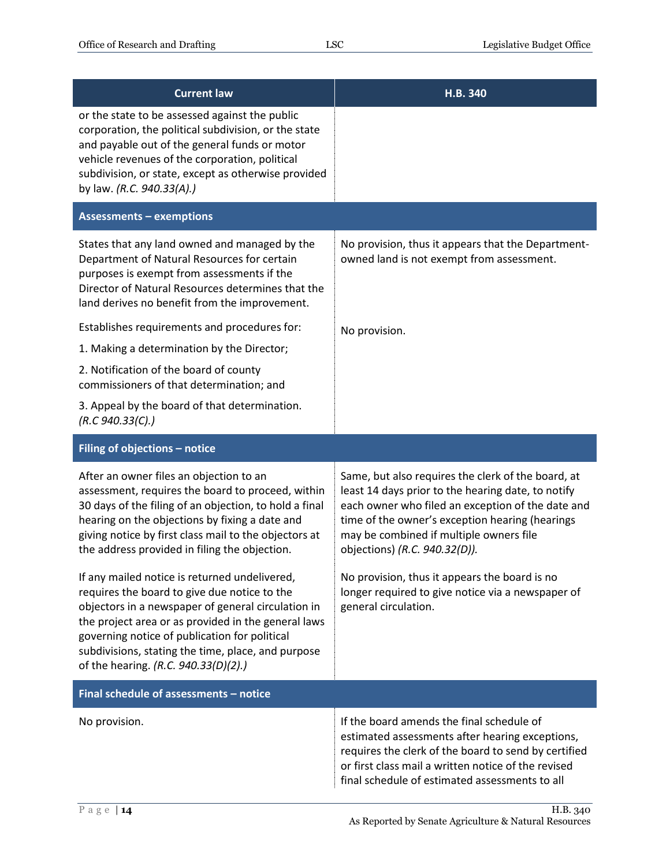| <b>Current law</b>                                                                                                                                                                                                                                                                                                                                                                                                  | H.B. 340                                                                                                                                                                                                                                                                                                                                                                                           |
|---------------------------------------------------------------------------------------------------------------------------------------------------------------------------------------------------------------------------------------------------------------------------------------------------------------------------------------------------------------------------------------------------------------------|----------------------------------------------------------------------------------------------------------------------------------------------------------------------------------------------------------------------------------------------------------------------------------------------------------------------------------------------------------------------------------------------------|
| or the state to be assessed against the public<br>corporation, the political subdivision, or the state<br>and payable out of the general funds or motor<br>vehicle revenues of the corporation, political<br>subdivision, or state, except as otherwise provided<br>by law. (R.C. 940.33(A).)                                                                                                                       |                                                                                                                                                                                                                                                                                                                                                                                                    |
| <b>Assessments - exemptions</b>                                                                                                                                                                                                                                                                                                                                                                                     |                                                                                                                                                                                                                                                                                                                                                                                                    |
| States that any land owned and managed by the<br>Department of Natural Resources for certain<br>purposes is exempt from assessments if the<br>Director of Natural Resources determines that the<br>land derives no benefit from the improvement.                                                                                                                                                                    | No provision, thus it appears that the Department-<br>owned land is not exempt from assessment.                                                                                                                                                                                                                                                                                                    |
| Establishes requirements and procedures for:                                                                                                                                                                                                                                                                                                                                                                        | No provision.                                                                                                                                                                                                                                                                                                                                                                                      |
| 1. Making a determination by the Director;                                                                                                                                                                                                                                                                                                                                                                          |                                                                                                                                                                                                                                                                                                                                                                                                    |
| 2. Notification of the board of county<br>commissioners of that determination; and                                                                                                                                                                                                                                                                                                                                  |                                                                                                                                                                                                                                                                                                                                                                                                    |
| 3. Appeal by the board of that determination.<br>(R.C.940.33(C).)                                                                                                                                                                                                                                                                                                                                                   |                                                                                                                                                                                                                                                                                                                                                                                                    |
|                                                                                                                                                                                                                                                                                                                                                                                                                     |                                                                                                                                                                                                                                                                                                                                                                                                    |
| Filing of objections - notice                                                                                                                                                                                                                                                                                                                                                                                       |                                                                                                                                                                                                                                                                                                                                                                                                    |
| After an owner files an objection to an<br>assessment, requires the board to proceed, within<br>30 days of the filing of an objection, to hold a final<br>hearing on the objections by fixing a date and<br>giving notice by first class mail to the objectors at<br>the address provided in filing the objection.<br>If any mailed notice is returned undelivered,<br>requires the board to give due notice to the | Same, but also requires the clerk of the board, at<br>least 14 days prior to the hearing date, to notify<br>each owner who filed an exception of the date and<br>time of the owner's exception hearing (hearings<br>may be combined if multiple owners file<br>objections) (R.C. 940.32(D)).<br>No provision, thus it appears the board is no<br>longer required to give notice via a newspaper of |
| objectors in a newspaper of general circulation in<br>the project area or as provided in the general laws<br>governing notice of publication for political<br>subdivisions, stating the time, place, and purpose<br>of the hearing. (R.C. 940.33(D)(2).)                                                                                                                                                            | general circulation.                                                                                                                                                                                                                                                                                                                                                                               |
| Final schedule of assessments - notice                                                                                                                                                                                                                                                                                                                                                                              |                                                                                                                                                                                                                                                                                                                                                                                                    |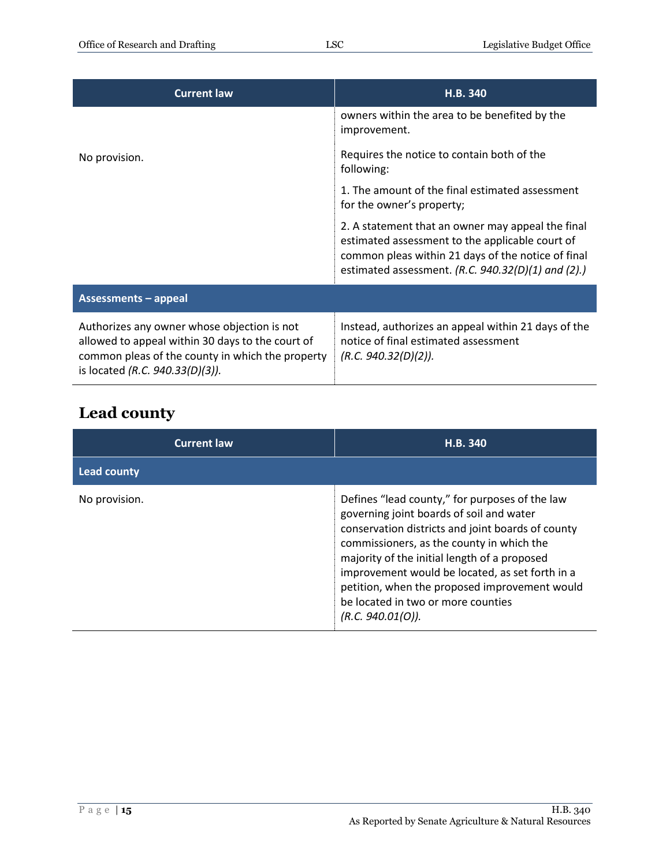| <b>Current law</b>                                                                                                                                                                     | H.B. 340                                                                                                                                                                                                           |
|----------------------------------------------------------------------------------------------------------------------------------------------------------------------------------------|--------------------------------------------------------------------------------------------------------------------------------------------------------------------------------------------------------------------|
|                                                                                                                                                                                        | owners within the area to be benefited by the<br>improvement.                                                                                                                                                      |
| No provision.                                                                                                                                                                          | Requires the notice to contain both of the<br>following:                                                                                                                                                           |
|                                                                                                                                                                                        | 1. The amount of the final estimated assessment<br>for the owner's property;                                                                                                                                       |
|                                                                                                                                                                                        | 2. A statement that an owner may appeal the final<br>estimated assessment to the applicable court of<br>common pleas within 21 days of the notice of final<br>estimated assessment. (R.C. $940.32(D)(1)$ and (2).) |
| <b>Assessments - appeal</b>                                                                                                                                                            |                                                                                                                                                                                                                    |
| Authorizes any owner whose objection is not<br>allowed to appeal within 30 days to the court of<br>common pleas of the county in which the property<br>is located (R.C. 940.33(D)(3)). | Instead, authorizes an appeal within 21 days of the<br>notice of final estimated assessment<br>(R.C. 940.32(D)(2)).                                                                                                |

# <span id="page-14-0"></span>**Lead county**

| <b>Current law</b> | H.B. 340                                                                                                                                                                                                                                                                                                                                                                                                    |
|--------------------|-------------------------------------------------------------------------------------------------------------------------------------------------------------------------------------------------------------------------------------------------------------------------------------------------------------------------------------------------------------------------------------------------------------|
| <b>Lead county</b> |                                                                                                                                                                                                                                                                                                                                                                                                             |
| No provision.      | Defines "lead county," for purposes of the law<br>governing joint boards of soil and water<br>conservation districts and joint boards of county<br>commissioners, as the county in which the<br>majority of the initial length of a proposed<br>improvement would be located, as set forth in a<br>petition, when the proposed improvement would<br>be located in two or more counties<br>(R.C. 940.01(O)). |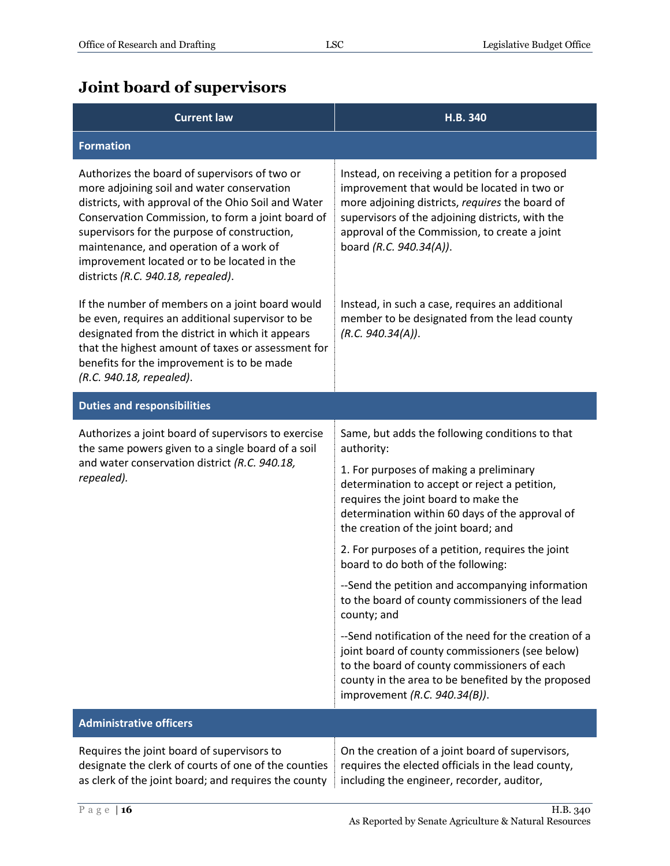#### <span id="page-15-0"></span>**Joint board of supervisors**

| <b>Current law</b>                                                                                                                                                                                                                                                                                                                                                                      | H.B. 340                                                                                                                                                                                                                                                                                                                                                                                                                                                                                                                                                                                                                                                                                                                                                          |
|-----------------------------------------------------------------------------------------------------------------------------------------------------------------------------------------------------------------------------------------------------------------------------------------------------------------------------------------------------------------------------------------|-------------------------------------------------------------------------------------------------------------------------------------------------------------------------------------------------------------------------------------------------------------------------------------------------------------------------------------------------------------------------------------------------------------------------------------------------------------------------------------------------------------------------------------------------------------------------------------------------------------------------------------------------------------------------------------------------------------------------------------------------------------------|
| <b>Formation</b>                                                                                                                                                                                                                                                                                                                                                                        |                                                                                                                                                                                                                                                                                                                                                                                                                                                                                                                                                                                                                                                                                                                                                                   |
| Authorizes the board of supervisors of two or<br>more adjoining soil and water conservation<br>districts, with approval of the Ohio Soil and Water<br>Conservation Commission, to form a joint board of<br>supervisors for the purpose of construction,<br>maintenance, and operation of a work of<br>improvement located or to be located in the<br>districts (R.C. 940.18, repealed). | Instead, on receiving a petition for a proposed<br>improvement that would be located in two or<br>more adjoining districts, requires the board of<br>supervisors of the adjoining districts, with the<br>approval of the Commission, to create a joint<br>board (R.C. 940.34(A)).                                                                                                                                                                                                                                                                                                                                                                                                                                                                                 |
| If the number of members on a joint board would<br>be even, requires an additional supervisor to be<br>designated from the district in which it appears<br>that the highest amount of taxes or assessment for<br>benefits for the improvement is to be made<br>(R.C. 940.18, repealed).                                                                                                 | Instead, in such a case, requires an additional<br>member to be designated from the lead county<br>(R.C. 940.34(A)).                                                                                                                                                                                                                                                                                                                                                                                                                                                                                                                                                                                                                                              |
| <b>Duties and responsibilities</b>                                                                                                                                                                                                                                                                                                                                                      |                                                                                                                                                                                                                                                                                                                                                                                                                                                                                                                                                                                                                                                                                                                                                                   |
| Authorizes a joint board of supervisors to exercise<br>the same powers given to a single board of a soil<br>and water conservation district (R.C. 940.18,<br>repealed).                                                                                                                                                                                                                 | Same, but adds the following conditions to that<br>authority:<br>1. For purposes of making a preliminary<br>determination to accept or reject a petition,<br>requires the joint board to make the<br>determination within 60 days of the approval of<br>the creation of the joint board; and<br>2. For purposes of a petition, requires the joint<br>board to do both of the following:<br>--Send the petition and accompanying information<br>to the board of county commissioners of the lead<br>county; and<br>--Send notification of the need for the creation of a<br>joint board of county commissioners (see below)<br>to the board of county commissioners of each<br>county in the area to be benefited by the proposed<br>improvement (R.C. 940.34(B)). |
| <b>Administrative officers</b>                                                                                                                                                                                                                                                                                                                                                          |                                                                                                                                                                                                                                                                                                                                                                                                                                                                                                                                                                                                                                                                                                                                                                   |
| Requires the joint board of supervisors to<br>designate the clerk of courts of one of the counties<br>as clerk of the joint board; and requires the county                                                                                                                                                                                                                              | On the creation of a joint board of supervisors,<br>requires the elected officials in the lead county,<br>including the engineer, recorder, auditor,                                                                                                                                                                                                                                                                                                                                                                                                                                                                                                                                                                                                              |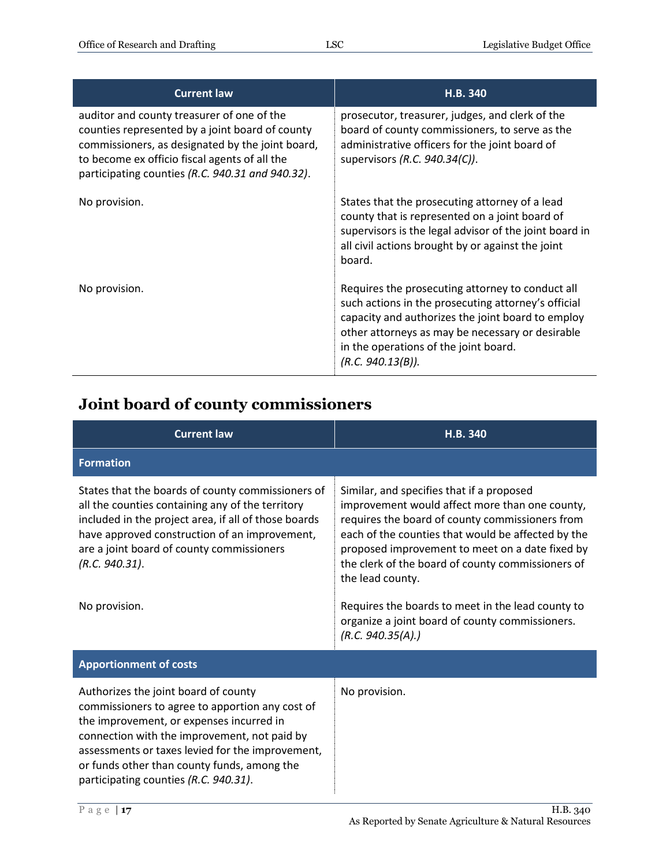| <b>Current law</b>                                                                                                                                                                                                                                     | H.B. 340                                                                                                                                                                                                                                                                       |
|--------------------------------------------------------------------------------------------------------------------------------------------------------------------------------------------------------------------------------------------------------|--------------------------------------------------------------------------------------------------------------------------------------------------------------------------------------------------------------------------------------------------------------------------------|
| auditor and county treasurer of one of the<br>counties represented by a joint board of county<br>commissioners, as designated by the joint board,<br>to become ex officio fiscal agents of all the<br>participating counties (R.C. 940.31 and 940.32). | prosecutor, treasurer, judges, and clerk of the<br>board of county commissioners, to serve as the<br>administrative officers for the joint board of<br>supervisors (R.C. 940.34(C)).                                                                                           |
| No provision.                                                                                                                                                                                                                                          | States that the prosecuting attorney of a lead<br>county that is represented on a joint board of<br>supervisors is the legal advisor of the joint board in<br>all civil actions brought by or against the joint<br>board.                                                      |
| No provision.                                                                                                                                                                                                                                          | Requires the prosecuting attorney to conduct all<br>such actions in the prosecuting attorney's official<br>capacity and authorizes the joint board to employ<br>other attorneys as may be necessary or desirable<br>in the operations of the joint board.<br>(R.C. 940.13(B)). |

# <span id="page-16-0"></span>**Joint board of county commissioners**

| <b>Current law</b>                                                                                                                                                                                                                                                                                                              | H.B. 340                                                                                                                                                                                                                                                                                                                                                                                                                                                      |
|---------------------------------------------------------------------------------------------------------------------------------------------------------------------------------------------------------------------------------------------------------------------------------------------------------------------------------|---------------------------------------------------------------------------------------------------------------------------------------------------------------------------------------------------------------------------------------------------------------------------------------------------------------------------------------------------------------------------------------------------------------------------------------------------------------|
| <b>Formation</b>                                                                                                                                                                                                                                                                                                                |                                                                                                                                                                                                                                                                                                                                                                                                                                                               |
| States that the boards of county commissioners of<br>all the counties containing any of the territory<br>included in the project area, if all of those boards<br>have approved construction of an improvement,<br>are a joint board of county commissioners<br>(R.C. 940.31).<br>No provision.                                  | Similar, and specifies that if a proposed<br>improvement would affect more than one county,<br>requires the board of county commissioners from<br>each of the counties that would be affected by the<br>proposed improvement to meet on a date fixed by<br>the clerk of the board of county commissioners of<br>the lead county.<br>Requires the boards to meet in the lead county to<br>organize a joint board of county commissioners.<br>(R.C. 940.35(A).) |
| <b>Apportionment of costs</b>                                                                                                                                                                                                                                                                                                   |                                                                                                                                                                                                                                                                                                                                                                                                                                                               |
| Authorizes the joint board of county<br>commissioners to agree to apportion any cost of<br>the improvement, or expenses incurred in<br>connection with the improvement, not paid by<br>assessments or taxes levied for the improvement,<br>or funds other than county funds, among the<br>participating counties (R.C. 940.31). | No provision.                                                                                                                                                                                                                                                                                                                                                                                                                                                 |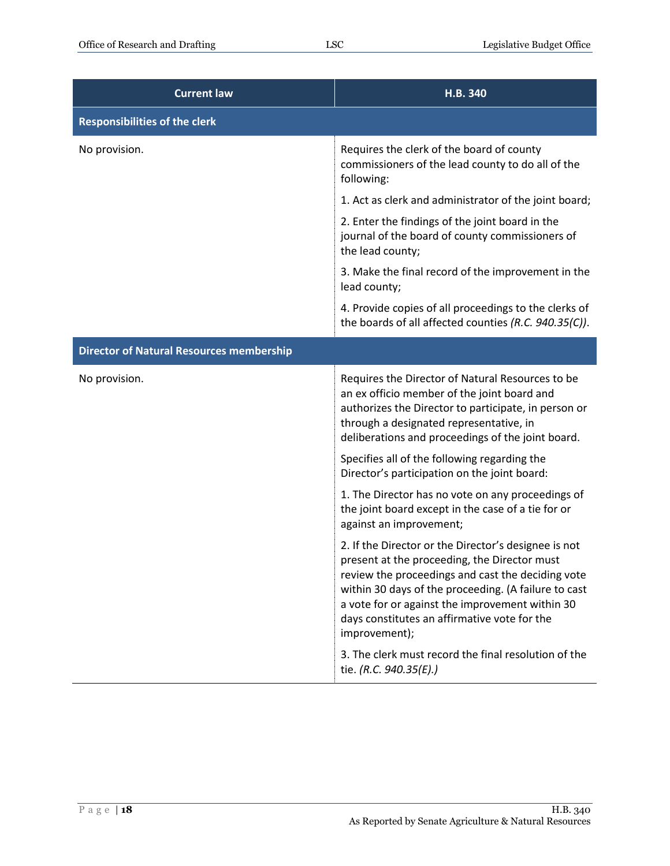| <b>Current law</b>                              | H.B. 340                                                                                                                                                                                                                                                                                                                              |
|-------------------------------------------------|---------------------------------------------------------------------------------------------------------------------------------------------------------------------------------------------------------------------------------------------------------------------------------------------------------------------------------------|
| <b>Responsibilities of the clerk</b>            |                                                                                                                                                                                                                                                                                                                                       |
| No provision.                                   | Requires the clerk of the board of county<br>commissioners of the lead county to do all of the<br>following:                                                                                                                                                                                                                          |
|                                                 | 1. Act as clerk and administrator of the joint board;                                                                                                                                                                                                                                                                                 |
|                                                 | 2. Enter the findings of the joint board in the<br>journal of the board of county commissioners of<br>the lead county;                                                                                                                                                                                                                |
|                                                 | 3. Make the final record of the improvement in the<br>lead county;                                                                                                                                                                                                                                                                    |
|                                                 | 4. Provide copies of all proceedings to the clerks of<br>the boards of all affected counties (R.C. 940.35(C)).                                                                                                                                                                                                                        |
| <b>Director of Natural Resources membership</b> |                                                                                                                                                                                                                                                                                                                                       |
| No provision.                                   | Requires the Director of Natural Resources to be<br>an ex officio member of the joint board and<br>authorizes the Director to participate, in person or<br>through a designated representative, in<br>deliberations and proceedings of the joint board.                                                                               |
|                                                 | Specifies all of the following regarding the<br>Director's participation on the joint board:                                                                                                                                                                                                                                          |
|                                                 | 1. The Director has no vote on any proceedings of<br>the joint board except in the case of a tie for or<br>against an improvement;                                                                                                                                                                                                    |
|                                                 | 2. If the Director or the Director's designee is not<br>present at the proceeding, the Director must<br>review the proceedings and cast the deciding vote<br>within 30 days of the proceeding. (A failure to cast<br>a vote for or against the improvement within 30<br>days constitutes an affirmative vote for the<br>improvement); |
|                                                 | 3. The clerk must record the final resolution of the<br>tie. (R.C. 940.35(E).)                                                                                                                                                                                                                                                        |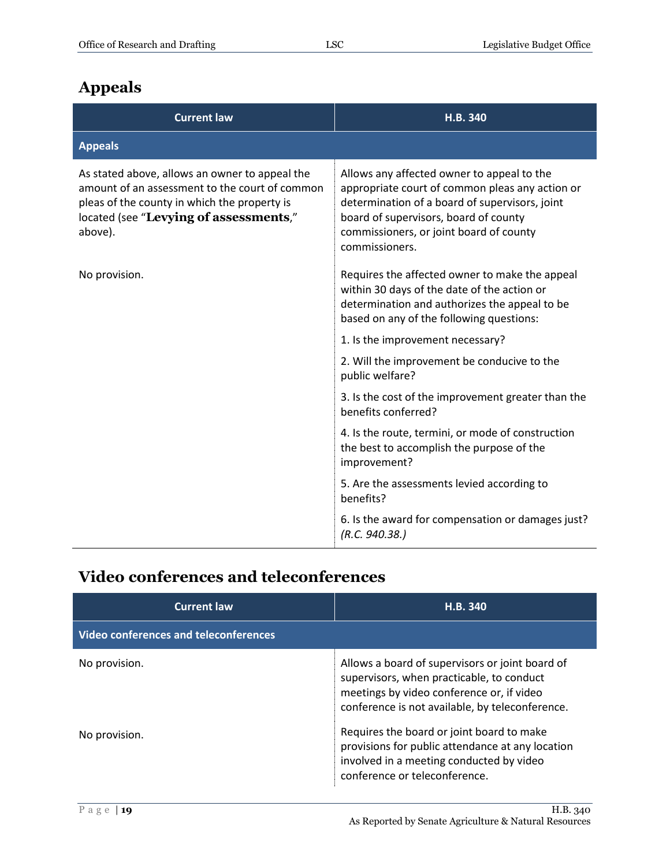# <span id="page-18-0"></span>**Appeals**

| <b>Current law</b>                                                                                                                                                                                    | H.B. 340                                                                                                                                                                                                                                              |
|-------------------------------------------------------------------------------------------------------------------------------------------------------------------------------------------------------|-------------------------------------------------------------------------------------------------------------------------------------------------------------------------------------------------------------------------------------------------------|
| <b>Appeals</b>                                                                                                                                                                                        |                                                                                                                                                                                                                                                       |
| As stated above, allows an owner to appeal the<br>amount of an assessment to the court of common<br>pleas of the county in which the property is<br>located (see "Levying of assessments,"<br>above). | Allows any affected owner to appeal to the<br>appropriate court of common pleas any action or<br>determination of a board of supervisors, joint<br>board of supervisors, board of county<br>commissioners, or joint board of county<br>commissioners. |
| No provision.                                                                                                                                                                                         | Requires the affected owner to make the appeal<br>within 30 days of the date of the action or<br>determination and authorizes the appeal to be<br>based on any of the following questions:                                                            |
|                                                                                                                                                                                                       | 1. Is the improvement necessary?                                                                                                                                                                                                                      |
|                                                                                                                                                                                                       | 2. Will the improvement be conducive to the<br>public welfare?                                                                                                                                                                                        |
|                                                                                                                                                                                                       | 3. Is the cost of the improvement greater than the<br>benefits conferred?                                                                                                                                                                             |
|                                                                                                                                                                                                       | 4. Is the route, termini, or mode of construction<br>the best to accomplish the purpose of the<br>improvement?                                                                                                                                        |
|                                                                                                                                                                                                       | 5. Are the assessments levied according to<br>benefits?                                                                                                                                                                                               |
|                                                                                                                                                                                                       | 6. Is the award for compensation or damages just?<br>(R.C. 940.38.)                                                                                                                                                                                   |

### <span id="page-18-1"></span>**Video conferences and teleconferences**

| <b>Current law</b>                           | H.B. 340                                                                                                                                                                                     |
|----------------------------------------------|----------------------------------------------------------------------------------------------------------------------------------------------------------------------------------------------|
| <b>Video conferences and teleconferences</b> |                                                                                                                                                                                              |
| No provision.                                | Allows a board of supervisors or joint board of<br>supervisors, when practicable, to conduct<br>meetings by video conference or, if video<br>conference is not available, by teleconference. |
| No provision.                                | Requires the board or joint board to make<br>provisions for public attendance at any location<br>involved in a meeting conducted by video<br>conference or teleconference.                   |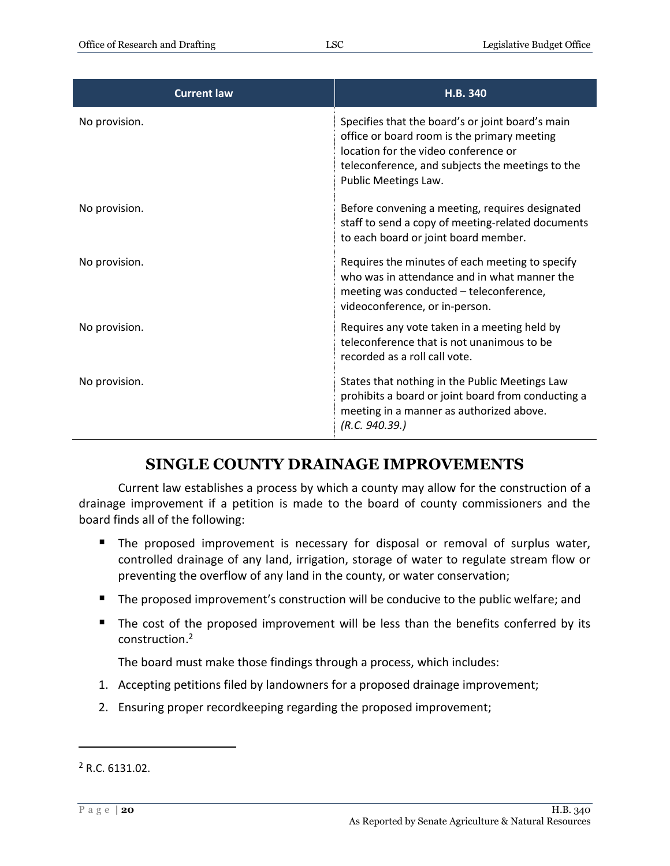| <b>Current law</b> | <b>H.B. 340</b>                                                                                                                                                                                                     |
|--------------------|---------------------------------------------------------------------------------------------------------------------------------------------------------------------------------------------------------------------|
| No provision.      | Specifies that the board's or joint board's main<br>office or board room is the primary meeting<br>location for the video conference or<br>teleconference, and subjects the meetings to the<br>Public Meetings Law. |
| No provision.      | Before convening a meeting, requires designated<br>staff to send a copy of meeting-related documents<br>to each board or joint board member.                                                                        |
| No provision.      | Requires the minutes of each meeting to specify<br>who was in attendance and in what manner the<br>meeting was conducted - teleconference,<br>videoconference, or in-person.                                        |
| No provision.      | Requires any vote taken in a meeting held by<br>teleconference that is not unanimous to be<br>recorded as a roll call vote.                                                                                         |
| No provision.      | States that nothing in the Public Meetings Law<br>prohibits a board or joint board from conducting a<br>meeting in a manner as authorized above.<br>(R.C. 940.39.)                                                  |

#### **SINGLE COUNTY DRAINAGE IMPROVEMENTS**

<span id="page-19-0"></span>Current law establishes a process by which a county may allow for the construction of a drainage improvement if a petition is made to the board of county commissioners and the board finds all of the following:

- The proposed improvement is necessary for disposal or removal of surplus water, controlled drainage of any land, irrigation, storage of water to regulate stream flow or preventing the overflow of any land in the county, or water conservation;
- The proposed improvement's construction will be conducive to the public welfare; and
- The cost of the proposed improvement will be less than the benefits conferred by its construction.<sup>2</sup>

The board must make those findings through a process, which includes:

- 1. Accepting petitions filed by landowners for a proposed drainage improvement;
- 2. Ensuring proper recordkeeping regarding the proposed improvement;

 $\overline{a}$ 

<sup>2</sup> R.C. 6131.02.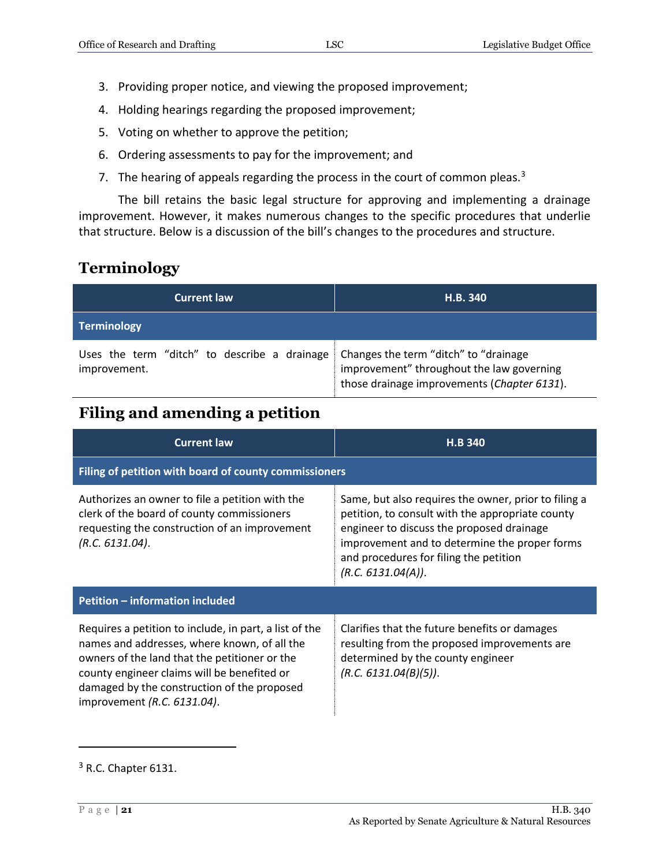- 3. Providing proper notice, and viewing the proposed improvement;
- 4. Holding hearings regarding the proposed improvement;
- 5. Voting on whether to approve the petition;
- 6. Ordering assessments to pay for the improvement; and
- 7. The hearing of appeals regarding the process in the court of common pleas. $3$

The bill retains the basic legal structure for approving and implementing a drainage improvement. However, it makes numerous changes to the specific procedures that underlie that structure. Below is a discussion of the bill's changes to the procedures and structure.

#### <span id="page-20-0"></span>**Terminology**

| <b>Current law</b>                                           | H.B. 340                                                                                                                          |
|--------------------------------------------------------------|-----------------------------------------------------------------------------------------------------------------------------------|
| Terminology                                                  |                                                                                                                                   |
| Uses the term "ditch" to describe a drainage<br>improvement. | Changes the term "ditch" to "drainage<br>improvement" throughout the law governing<br>those drainage improvements (Chapter 6131). |

#### <span id="page-20-1"></span>**Filing and amending a petition**

| <b>Current law</b>                                                                                                                                                                                                                                                                   | <b>H.B 340</b>                                                                                                                                                                                                                                                         |  |
|--------------------------------------------------------------------------------------------------------------------------------------------------------------------------------------------------------------------------------------------------------------------------------------|------------------------------------------------------------------------------------------------------------------------------------------------------------------------------------------------------------------------------------------------------------------------|--|
| Filing of petition with board of county commissioners                                                                                                                                                                                                                                |                                                                                                                                                                                                                                                                        |  |
| Authorizes an owner to file a petition with the<br>clerk of the board of county commissioners<br>requesting the construction of an improvement<br>(R.C. 6131.04).                                                                                                                    | Same, but also requires the owner, prior to filing a<br>petition, to consult with the appropriate county<br>engineer to discuss the proposed drainage<br>improvement and to determine the proper forms<br>and procedures for filing the petition<br>(R.C. 6131.04(A)). |  |
| Petition - information included                                                                                                                                                                                                                                                      |                                                                                                                                                                                                                                                                        |  |
| Requires a petition to include, in part, a list of the<br>names and addresses, where known, of all the<br>owners of the land that the petitioner or the<br>county engineer claims will be benefited or<br>damaged by the construction of the proposed<br>improvement (R.C. 6131.04). | Clarifies that the future benefits or damages<br>resulting from the proposed improvements are<br>determined by the county engineer<br>(R.C. 6131.04(B)(5)).                                                                                                            |  |

 $\overline{a}$ 

<sup>&</sup>lt;sup>3</sup> R.C. Chapter 6131.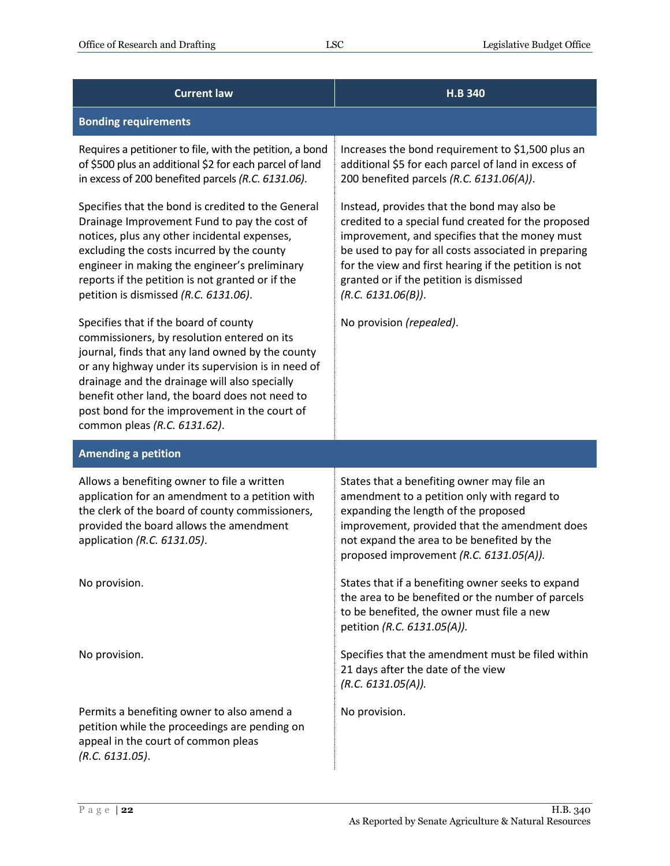| <b>Current law</b>                                                                                                                                                                                                                                                                                                                                                                 | H.B 340                                                                                                                                                                                                                                                                                                                                |
|------------------------------------------------------------------------------------------------------------------------------------------------------------------------------------------------------------------------------------------------------------------------------------------------------------------------------------------------------------------------------------|----------------------------------------------------------------------------------------------------------------------------------------------------------------------------------------------------------------------------------------------------------------------------------------------------------------------------------------|
| <b>Bonding requirements</b>                                                                                                                                                                                                                                                                                                                                                        |                                                                                                                                                                                                                                                                                                                                        |
| Requires a petitioner to file, with the petition, a bond<br>of \$500 plus an additional \$2 for each parcel of land<br>in excess of 200 benefited parcels (R.C. 6131.06).                                                                                                                                                                                                          | Increases the bond requirement to \$1,500 plus an<br>additional \$5 for each parcel of land in excess of<br>200 benefited parcels (R.C. 6131.06(A)).                                                                                                                                                                                   |
| Specifies that the bond is credited to the General<br>Drainage Improvement Fund to pay the cost of<br>notices, plus any other incidental expenses,<br>excluding the costs incurred by the county<br>engineer in making the engineer's preliminary<br>reports if the petition is not granted or if the<br>petition is dismissed (R.C. 6131.06).                                     | Instead, provides that the bond may also be<br>credited to a special fund created for the proposed<br>improvement, and specifies that the money must<br>be used to pay for all costs associated in preparing<br>for the view and first hearing if the petition is not<br>granted or if the petition is dismissed<br>(R.C. 6131.06(B)). |
| Specifies that if the board of county<br>commissioners, by resolution entered on its<br>journal, finds that any land owned by the county<br>or any highway under its supervision is in need of<br>drainage and the drainage will also specially<br>benefit other land, the board does not need to<br>post bond for the improvement in the court of<br>common pleas (R.C. 6131.62). | No provision (repealed).                                                                                                                                                                                                                                                                                                               |
| <b>Amending a petition</b>                                                                                                                                                                                                                                                                                                                                                         |                                                                                                                                                                                                                                                                                                                                        |
| Allows a benefiting owner to file a written<br>application for an amendment to a petition with<br>the clerk of the board of county commissioners,<br>provided the board allows the amendment<br>application (R.C. 6131.05).                                                                                                                                                        | States that a benefiting owner may file an<br>amendment to a petition only with regard to<br>expanding the length of the proposed<br>improvement, provided that the amendment does<br>not expand the area to be benefited by the<br>proposed improvement (R.C. 6131.05(A)).                                                            |
| No provision.                                                                                                                                                                                                                                                                                                                                                                      | States that if a benefiting owner seeks to expand<br>the area to be benefited or the number of parcels<br>to be benefited, the owner must file a new<br>petition (R.C. 6131.05(A)).                                                                                                                                                    |
| No provision.                                                                                                                                                                                                                                                                                                                                                                      | Specifies that the amendment must be filed within<br>21 days after the date of the view<br>(R.C. 6131.05(A)).                                                                                                                                                                                                                          |
| Permits a benefiting owner to also amend a<br>petition while the proceedings are pending on<br>appeal in the court of common pleas<br>(R.C. 6131.05).                                                                                                                                                                                                                              | No provision.                                                                                                                                                                                                                                                                                                                          |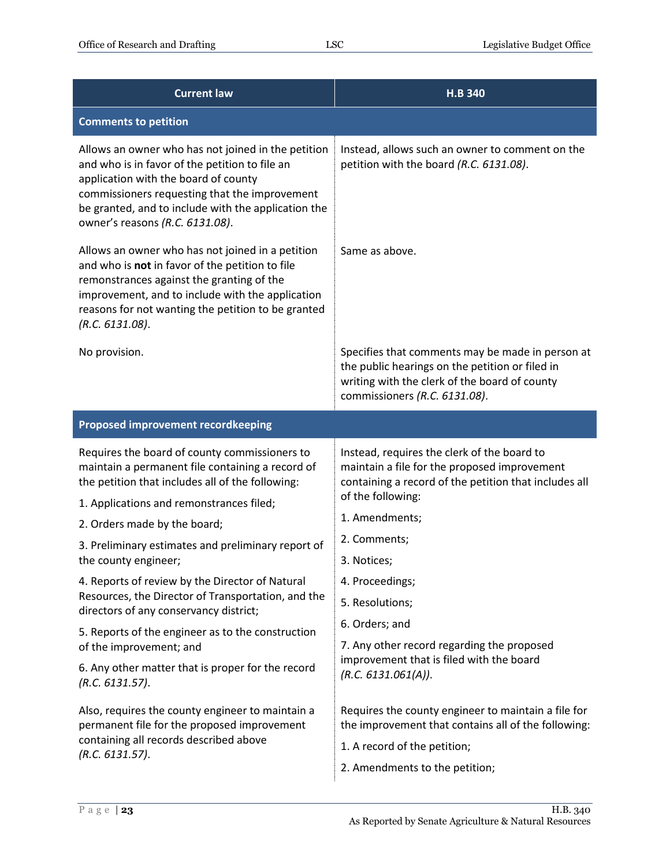| <b>Current law</b>                                                                                                                                                                                                                                                                      | <b>H.B 340</b>                                                                                                                                                                        |
|-----------------------------------------------------------------------------------------------------------------------------------------------------------------------------------------------------------------------------------------------------------------------------------------|---------------------------------------------------------------------------------------------------------------------------------------------------------------------------------------|
| <b>Comments to petition</b>                                                                                                                                                                                                                                                             |                                                                                                                                                                                       |
| Allows an owner who has not joined in the petition<br>and who is in favor of the petition to file an<br>application with the board of county<br>commissioners requesting that the improvement<br>be granted, and to include with the application the<br>owner's reasons (R.C. 6131.08). | Instead, allows such an owner to comment on the<br>petition with the board (R.C. 6131.08).                                                                                            |
| Allows an owner who has not joined in a petition<br>and who is not in favor of the petition to file<br>remonstrances against the granting of the<br>improvement, and to include with the application<br>reasons for not wanting the petition to be granted<br>(R.C. 6131.08).           | Same as above.                                                                                                                                                                        |
| No provision.                                                                                                                                                                                                                                                                           | Specifies that comments may be made in person at<br>the public hearings on the petition or filed in<br>writing with the clerk of the board of county<br>commissioners (R.C. 6131.08). |
| <b>Proposed improvement recordkeeping</b>                                                                                                                                                                                                                                               |                                                                                                                                                                                       |
| Requires the board of county commissioners to<br>maintain a permanent file containing a record of<br>the petition that includes all of the following:                                                                                                                                   | Instead, requires the clerk of the board to<br>maintain a file for the proposed improvement<br>containing a record of the petition that includes all<br>of the following:             |
| 1. Applications and remonstrances filed;<br>2. Orders made by the board;                                                                                                                                                                                                                | 1. Amendments;                                                                                                                                                                        |
| 3. Preliminary estimates and preliminary report of                                                                                                                                                                                                                                      | 2. Comments;                                                                                                                                                                          |
| the county engineer;                                                                                                                                                                                                                                                                    | 3. Notices;                                                                                                                                                                           |
| 4. Reports of review by the Director of Natural                                                                                                                                                                                                                                         | 4. Proceedings;                                                                                                                                                                       |
| Resources, the Director of Transportation, and the<br>directors of any conservancy district;                                                                                                                                                                                            | 5. Resolutions;                                                                                                                                                                       |
| 5. Reports of the engineer as to the construction<br>of the improvement; and                                                                                                                                                                                                            | 6. Orders; and<br>7. Any other record regarding the proposed                                                                                                                          |
| 6. Any other matter that is proper for the record<br>(R.C. 6131.57).                                                                                                                                                                                                                    | improvement that is filed with the board<br>(R.C. 6131.061(A)).                                                                                                                       |
| Also, requires the county engineer to maintain a<br>permanent file for the proposed improvement<br>containing all records described above<br>(R.C. 6131.57).                                                                                                                            | Requires the county engineer to maintain a file for<br>the improvement that contains all of the following:<br>1. A record of the petition;<br>2. Amendments to the petition;          |
|                                                                                                                                                                                                                                                                                         |                                                                                                                                                                                       |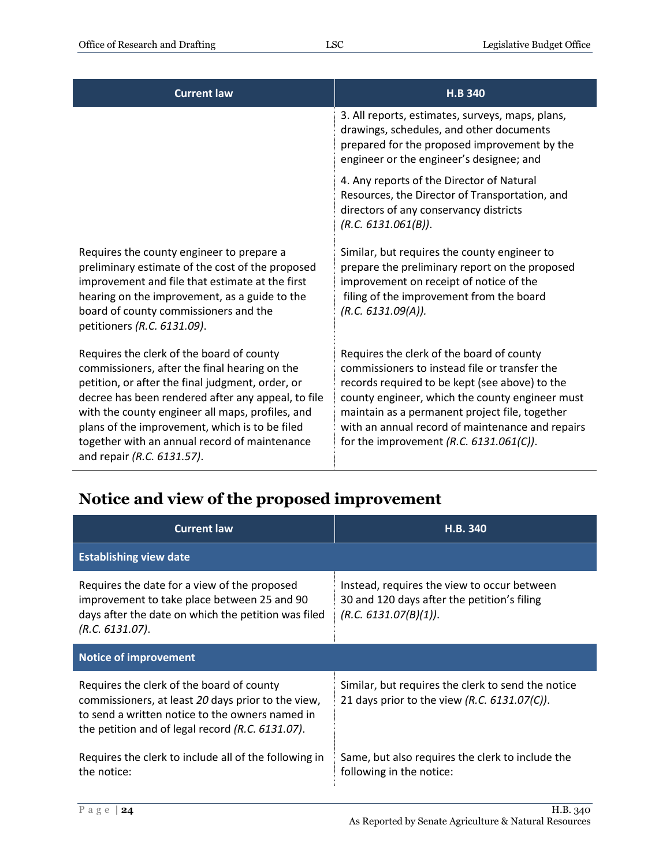| <b>Current law</b>                                                                                                                                                                                                                                                                                                                                                                        | <b>H.B 340</b>                                                                                                                                                                                                                                                                                                                                     |
|-------------------------------------------------------------------------------------------------------------------------------------------------------------------------------------------------------------------------------------------------------------------------------------------------------------------------------------------------------------------------------------------|----------------------------------------------------------------------------------------------------------------------------------------------------------------------------------------------------------------------------------------------------------------------------------------------------------------------------------------------------|
|                                                                                                                                                                                                                                                                                                                                                                                           | 3. All reports, estimates, surveys, maps, plans,<br>drawings, schedules, and other documents<br>prepared for the proposed improvement by the<br>engineer or the engineer's designee; and                                                                                                                                                           |
|                                                                                                                                                                                                                                                                                                                                                                                           | 4. Any reports of the Director of Natural<br>Resources, the Director of Transportation, and<br>directors of any conservancy districts<br>(R.C. 6131.061(B)).                                                                                                                                                                                       |
| Requires the county engineer to prepare a<br>preliminary estimate of the cost of the proposed<br>improvement and file that estimate at the first<br>hearing on the improvement, as a guide to the<br>board of county commissioners and the<br>petitioners (R.C. 6131.09).                                                                                                                 | Similar, but requires the county engineer to<br>prepare the preliminary report on the proposed<br>improvement on receipt of notice of the<br>filing of the improvement from the board<br>(R.C. 6131.09(A)).                                                                                                                                        |
| Requires the clerk of the board of county<br>commissioners, after the final hearing on the<br>petition, or after the final judgment, order, or<br>decree has been rendered after any appeal, to file<br>with the county engineer all maps, profiles, and<br>plans of the improvement, which is to be filed<br>together with an annual record of maintenance<br>and repair (R.C. 6131.57). | Requires the clerk of the board of county<br>commissioners to instead file or transfer the<br>records required to be kept (see above) to the<br>county engineer, which the county engineer must<br>maintain as a permanent project file, together<br>with an annual record of maintenance and repairs<br>for the improvement $(R.C. 6131.061(C)).$ |

#### <span id="page-23-0"></span>**Notice and view of the proposed improvement**

| <b>Current law</b>                                                                                                                                                                                     | H.B. 340                                                                                                            |  |
|--------------------------------------------------------------------------------------------------------------------------------------------------------------------------------------------------------|---------------------------------------------------------------------------------------------------------------------|--|
| <b>Establishing view date</b>                                                                                                                                                                          |                                                                                                                     |  |
| Requires the date for a view of the proposed<br>improvement to take place between 25 and 90<br>days after the date on which the petition was filed<br>(R.C. 6131.07).                                  | Instead, requires the view to occur between<br>30 and 120 days after the petition's filing<br>(R.C. 6131.07(B)(1)). |  |
| <b>Notice of improvement</b>                                                                                                                                                                           |                                                                                                                     |  |
| Requires the clerk of the board of county<br>commissioners, at least 20 days prior to the view,<br>to send a written notice to the owners named in<br>the petition and of legal record (R.C. 6131.07). | Similar, but requires the clerk to send the notice<br>21 days prior to the view (R.C. 6131.07(C)).                  |  |
| Requires the clerk to include all of the following in<br>the notice:                                                                                                                                   | Same, but also requires the clerk to include the<br>following in the notice:                                        |  |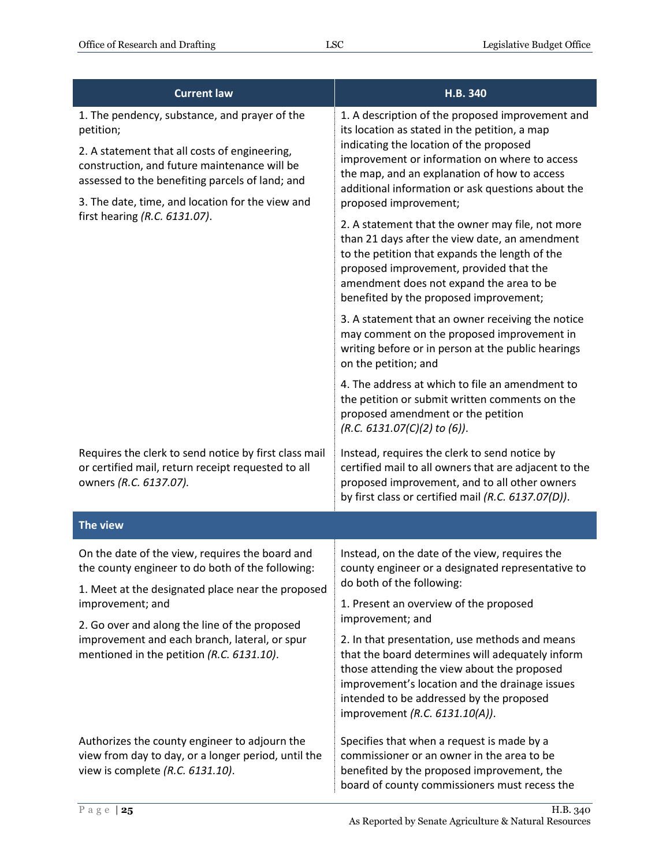| <b>Current law</b>                                                                                                                                                                                                                                                                                  | H.B. 340                                                                                                                                                                                                                                                                                                                    |
|-----------------------------------------------------------------------------------------------------------------------------------------------------------------------------------------------------------------------------------------------------------------------------------------------------|-----------------------------------------------------------------------------------------------------------------------------------------------------------------------------------------------------------------------------------------------------------------------------------------------------------------------------|
| 1. The pendency, substance, and prayer of the<br>petition;<br>2. A statement that all costs of engineering,<br>construction, and future maintenance will be<br>assessed to the benefiting parcels of land; and<br>3. The date, time, and location for the view and<br>first hearing (R.C. 6131.07). | 1. A description of the proposed improvement and<br>its location as stated in the petition, a map<br>indicating the location of the proposed<br>improvement or information on where to access<br>the map, and an explanation of how to access<br>additional information or ask questions about the<br>proposed improvement; |
|                                                                                                                                                                                                                                                                                                     | 2. A statement that the owner may file, not more<br>than 21 days after the view date, an amendment<br>to the petition that expands the length of the<br>proposed improvement, provided that the<br>amendment does not expand the area to be<br>benefited by the proposed improvement;                                       |
|                                                                                                                                                                                                                                                                                                     | 3. A statement that an owner receiving the notice<br>may comment on the proposed improvement in<br>writing before or in person at the public hearings<br>on the petition; and                                                                                                                                               |
|                                                                                                                                                                                                                                                                                                     | 4. The address at which to file an amendment to<br>the petition or submit written comments on the<br>proposed amendment or the petition<br>$(R.C. 6131.07(C)(2)$ to (6)).                                                                                                                                                   |
| Requires the clerk to send notice by first class mail<br>or certified mail, return receipt requested to all<br>owners (R.C. 6137.07).                                                                                                                                                               | Instead, requires the clerk to send notice by<br>certified mail to all owners that are adjacent to the<br>proposed improvement, and to all other owners<br>by first class or certified mail (R.C. 6137.07(D)).                                                                                                              |
| The view                                                                                                                                                                                                                                                                                            |                                                                                                                                                                                                                                                                                                                             |
| On the date of the view, requires the board and<br>the county engineer to do both of the following:<br>1. Meet at the designated place near the proposed                                                                                                                                            | Instead, on the date of the view, requires the<br>county engineer or a designated representative to<br>do both of the following:                                                                                                                                                                                            |
| improvement; and                                                                                                                                                                                                                                                                                    | 1. Present an overview of the proposed<br>improvement; and                                                                                                                                                                                                                                                                  |
| 2. Go over and along the line of the proposed<br>improvement and each branch, lateral, or spur<br>mentioned in the petition (R.C. 6131.10).                                                                                                                                                         | 2. In that presentation, use methods and means<br>that the board determines will adequately inform<br>those attending the view about the proposed<br>improvement's location and the drainage issues<br>intended to be addressed by the proposed<br>improvement (R.C. 6131.10(A)).                                           |
| Authorizes the county engineer to adjourn the<br>view from day to day, or a longer period, until the<br>view is complete (R.C. 6131.10).                                                                                                                                                            | Specifies that when a request is made by a<br>commissioner or an owner in the area to be<br>benefited by the proposed improvement, the<br>board of county commissioners must recess the                                                                                                                                     |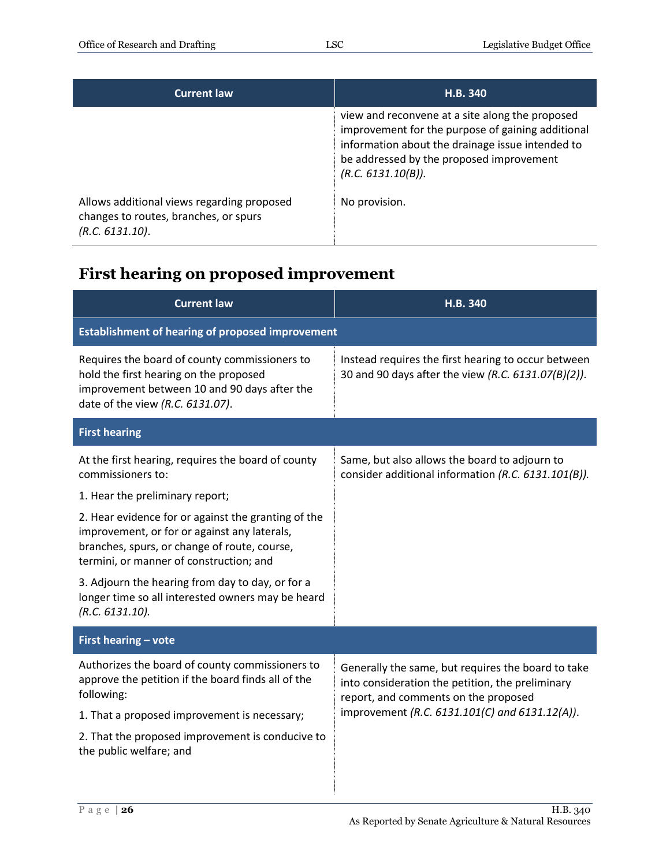| <b>Current law</b>                                                                                     | H.B. 340                                                                                                                                                                                                                   |
|--------------------------------------------------------------------------------------------------------|----------------------------------------------------------------------------------------------------------------------------------------------------------------------------------------------------------------------------|
|                                                                                                        | view and reconvene at a site along the proposed<br>improvement for the purpose of gaining additional<br>information about the drainage issue intended to<br>be addressed by the proposed improvement<br>(R.C. 6131.10(B)). |
| Allows additional views regarding proposed<br>changes to routes, branches, or spurs<br>(R.C. 6131.10). | No provision.                                                                                                                                                                                                              |

# <span id="page-25-0"></span>**First hearing on proposed improvement**

| <b>Current law</b>                                                                                                                                                                             | H.B. 340                                                                                                                                                                                         |
|------------------------------------------------------------------------------------------------------------------------------------------------------------------------------------------------|--------------------------------------------------------------------------------------------------------------------------------------------------------------------------------------------------|
| <b>Establishment of hearing of proposed improvement</b>                                                                                                                                        |                                                                                                                                                                                                  |
| Requires the board of county commissioners to<br>hold the first hearing on the proposed<br>improvement between 10 and 90 days after the<br>date of the view (R.C. 6131.07).                    | Instead requires the first hearing to occur between<br>30 and 90 days after the view (R.C. 6131.07(B)(2)).                                                                                       |
| <b>First hearing</b>                                                                                                                                                                           |                                                                                                                                                                                                  |
| At the first hearing, requires the board of county<br>commissioners to:                                                                                                                        | Same, but also allows the board to adjourn to<br>consider additional information (R.C. 6131.101(B)).                                                                                             |
| 1. Hear the preliminary report;                                                                                                                                                                |                                                                                                                                                                                                  |
| 2. Hear evidence for or against the granting of the<br>improvement, or for or against any laterals,<br>branches, spurs, or change of route, course,<br>termini, or manner of construction; and |                                                                                                                                                                                                  |
| 3. Adjourn the hearing from day to day, or for a<br>longer time so all interested owners may be heard<br>(R.C. 6131.10).                                                                       |                                                                                                                                                                                                  |
| First hearing - vote                                                                                                                                                                           |                                                                                                                                                                                                  |
| Authorizes the board of county commissioners to<br>approve the petition if the board finds all of the<br>following:                                                                            | Generally the same, but requires the board to take<br>into consideration the petition, the preliminary<br>report, and comments on the proposed<br>improvement (R.C. 6131.101(C) and 6131.12(A)). |
| 1. That a proposed improvement is necessary;                                                                                                                                                   |                                                                                                                                                                                                  |
| 2. That the proposed improvement is conducive to<br>the public welfare; and                                                                                                                    |                                                                                                                                                                                                  |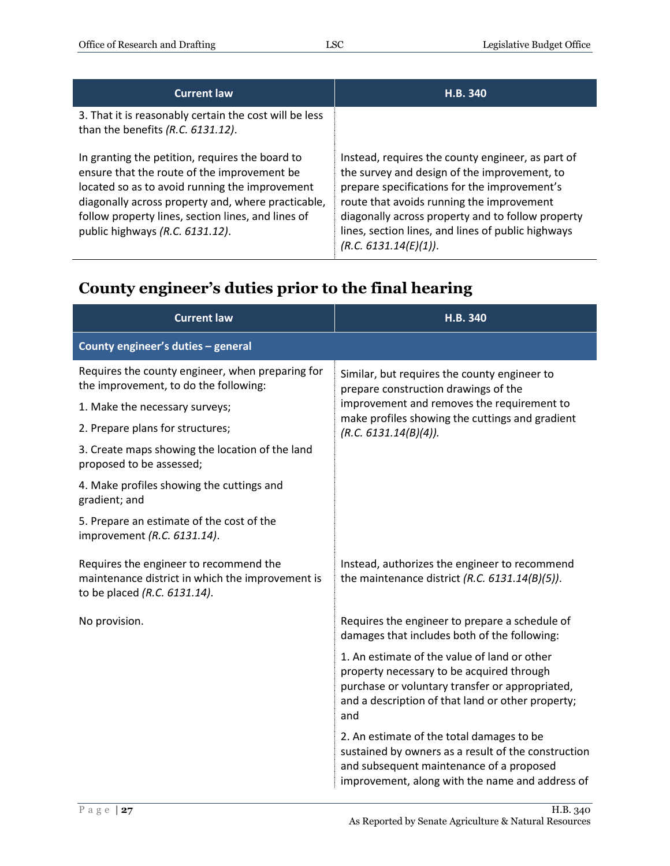| <b>Current law</b>                                                                                                                                                                                                                                                                              | H.B. 340                                                                                                                                                                                                                                                                                                                           |
|-------------------------------------------------------------------------------------------------------------------------------------------------------------------------------------------------------------------------------------------------------------------------------------------------|------------------------------------------------------------------------------------------------------------------------------------------------------------------------------------------------------------------------------------------------------------------------------------------------------------------------------------|
| 3. That it is reasonably certain the cost will be less<br>than the benefits (R.C. 6131.12).                                                                                                                                                                                                     |                                                                                                                                                                                                                                                                                                                                    |
| In granting the petition, requires the board to<br>ensure that the route of the improvement be<br>located so as to avoid running the improvement<br>diagonally across property and, where practicable,<br>follow property lines, section lines, and lines of<br>public highways (R.C. 6131.12). | Instead, requires the county engineer, as part of<br>the survey and design of the improvement, to<br>prepare specifications for the improvement's<br>route that avoids running the improvement<br>diagonally across property and to follow property<br>lines, section lines, and lines of public highways<br>(R.C. 6131.14(E)(1)). |

#### <span id="page-26-0"></span>**County engineer's duties prior to the final hearing**

| <b>Current law</b>                                                                                                         | H.B. 340                                                                                                                                                                                                 |
|----------------------------------------------------------------------------------------------------------------------------|----------------------------------------------------------------------------------------------------------------------------------------------------------------------------------------------------------|
| County engineer's duties - general                                                                                         |                                                                                                                                                                                                          |
| Requires the county engineer, when preparing for<br>the improvement, to do the following:                                  | Similar, but requires the county engineer to<br>prepare construction drawings of the                                                                                                                     |
| 1. Make the necessary surveys;                                                                                             | improvement and removes the requirement to                                                                                                                                                               |
| 2. Prepare plans for structures;                                                                                           | make profiles showing the cuttings and gradient<br>(R.C. 6131.14(B)(4)).                                                                                                                                 |
| 3. Create maps showing the location of the land<br>proposed to be assessed;                                                |                                                                                                                                                                                                          |
| 4. Make profiles showing the cuttings and<br>gradient; and                                                                 |                                                                                                                                                                                                          |
| 5. Prepare an estimate of the cost of the<br>improvement (R.C. 6131.14).                                                   |                                                                                                                                                                                                          |
| Requires the engineer to recommend the<br>maintenance district in which the improvement is<br>to be placed (R.C. 6131.14). | Instead, authorizes the engineer to recommend<br>the maintenance district (R.C. $6131.14(B)(5)$ ).                                                                                                       |
| No provision.                                                                                                              | Requires the engineer to prepare a schedule of<br>damages that includes both of the following:                                                                                                           |
|                                                                                                                            | 1. An estimate of the value of land or other<br>property necessary to be acquired through<br>purchase or voluntary transfer or appropriated,<br>and a description of that land or other property;<br>and |
|                                                                                                                            | 2. An estimate of the total damages to be<br>sustained by owners as a result of the construction<br>and subsequent maintenance of a proposed<br>improvement, along with the name and address of          |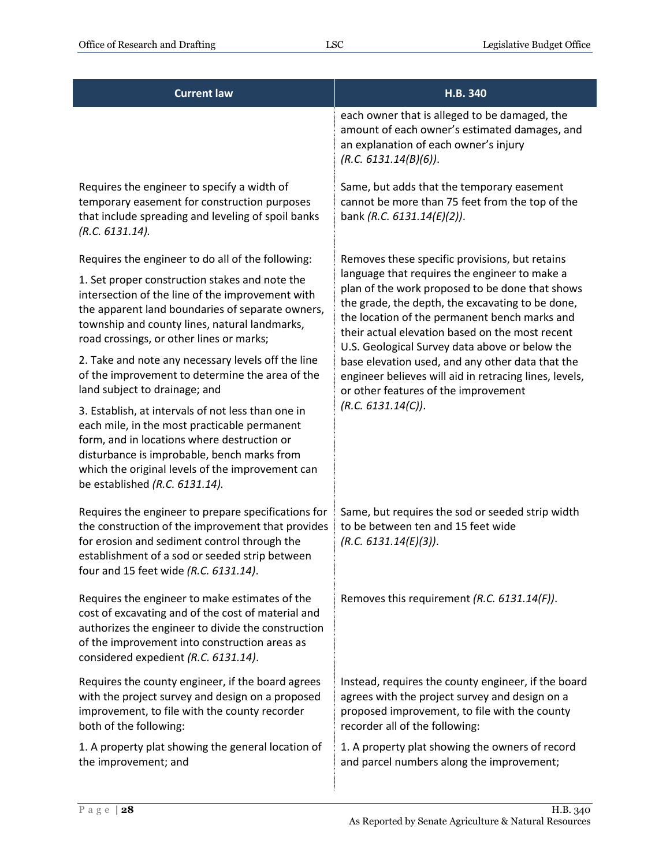| <b>Current law</b>                                                                                                                                                                                                                                                                     | H.B. 340                                                                                                                                                                                                                                                                                                   |
|----------------------------------------------------------------------------------------------------------------------------------------------------------------------------------------------------------------------------------------------------------------------------------------|------------------------------------------------------------------------------------------------------------------------------------------------------------------------------------------------------------------------------------------------------------------------------------------------------------|
|                                                                                                                                                                                                                                                                                        | each owner that is alleged to be damaged, the<br>amount of each owner's estimated damages, and<br>an explanation of each owner's injury<br>(R.C. 6131.14(B)(6)).                                                                                                                                           |
| Requires the engineer to specify a width of<br>temporary easement for construction purposes<br>that include spreading and leveling of spoil banks<br>(R.C. 6131.14).                                                                                                                   | Same, but adds that the temporary easement<br>cannot be more than 75 feet from the top of the<br>bank (R.C. 6131.14(E)(2)).                                                                                                                                                                                |
| Requires the engineer to do all of the following:                                                                                                                                                                                                                                      | Removes these specific provisions, but retains                                                                                                                                                                                                                                                             |
| 1. Set proper construction stakes and note the<br>intersection of the line of the improvement with<br>the apparent land boundaries of separate owners,<br>township and county lines, natural landmarks,<br>road crossings, or other lines or marks;                                    | language that requires the engineer to make a<br>plan of the work proposed to be done that shows<br>the grade, the depth, the excavating to be done,<br>the location of the permanent bench marks and<br>their actual elevation based on the most recent<br>U.S. Geological Survey data above or below the |
| 2. Take and note any necessary levels off the line<br>of the improvement to determine the area of the<br>land subject to drainage; and                                                                                                                                                 | base elevation used, and any other data that the<br>engineer believes will aid in retracing lines, levels,<br>or other features of the improvement                                                                                                                                                         |
| 3. Establish, at intervals of not less than one in<br>each mile, in the most practicable permanent<br>form, and in locations where destruction or<br>disturbance is improbable, bench marks from<br>which the original levels of the improvement can<br>be established (R.C. 6131.14). | (R.C. 6131.14(C)).                                                                                                                                                                                                                                                                                         |
| Requires the engineer to prepare specifications for<br>the construction of the improvement that provides<br>for erosion and sediment control through the<br>establishment of a sod or seeded strip between<br>four and 15 feet wide (R.C. 6131.14).                                    | Same, but requires the sod or seeded strip width<br>to be between ten and 15 feet wide<br>(R.C. 6131.14(E)(3)).                                                                                                                                                                                            |
| Requires the engineer to make estimates of the<br>cost of excavating and of the cost of material and<br>authorizes the engineer to divide the construction<br>of the improvement into construction areas as<br>considered expedient (R.C. 6131.14).                                    | Removes this requirement (R.C. 6131.14(F)).                                                                                                                                                                                                                                                                |
| Requires the county engineer, if the board agrees<br>with the project survey and design on a proposed<br>improvement, to file with the county recorder<br>both of the following:                                                                                                       | Instead, requires the county engineer, if the board<br>agrees with the project survey and design on a<br>proposed improvement, to file with the county<br>recorder all of the following:                                                                                                                   |
| 1. A property plat showing the general location of<br>the improvement; and                                                                                                                                                                                                             | 1. A property plat showing the owners of record<br>and parcel numbers along the improvement;                                                                                                                                                                                                               |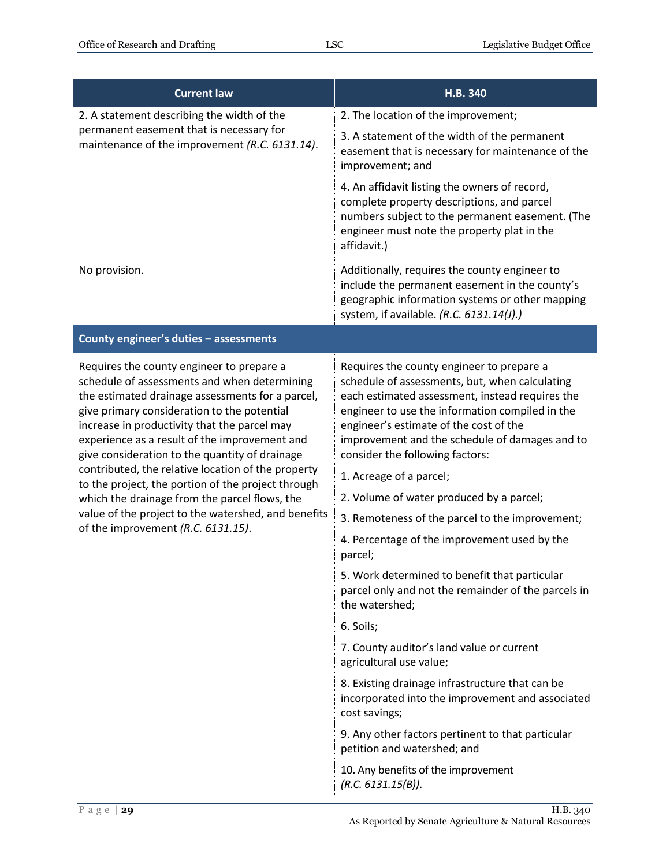| <b>Current law</b>                                                                                                                                                                                                                                                                                                                                                                                                                                                                                                                                                                                        | H.B. 340                                                                                                                                                                                                                                                                                                                                                                                                                                                                                                                                                                                                                                                     |
|-----------------------------------------------------------------------------------------------------------------------------------------------------------------------------------------------------------------------------------------------------------------------------------------------------------------------------------------------------------------------------------------------------------------------------------------------------------------------------------------------------------------------------------------------------------------------------------------------------------|--------------------------------------------------------------------------------------------------------------------------------------------------------------------------------------------------------------------------------------------------------------------------------------------------------------------------------------------------------------------------------------------------------------------------------------------------------------------------------------------------------------------------------------------------------------------------------------------------------------------------------------------------------------|
| 2. A statement describing the width of the<br>permanent easement that is necessary for<br>maintenance of the improvement (R.C. 6131.14).                                                                                                                                                                                                                                                                                                                                                                                                                                                                  | 2. The location of the improvement;                                                                                                                                                                                                                                                                                                                                                                                                                                                                                                                                                                                                                          |
|                                                                                                                                                                                                                                                                                                                                                                                                                                                                                                                                                                                                           | 3. A statement of the width of the permanent<br>easement that is necessary for maintenance of the<br>improvement; and                                                                                                                                                                                                                                                                                                                                                                                                                                                                                                                                        |
|                                                                                                                                                                                                                                                                                                                                                                                                                                                                                                                                                                                                           | 4. An affidavit listing the owners of record,<br>complete property descriptions, and parcel<br>numbers subject to the permanent easement. (The<br>engineer must note the property plat in the<br>affidavit.)                                                                                                                                                                                                                                                                                                                                                                                                                                                 |
| No provision.                                                                                                                                                                                                                                                                                                                                                                                                                                                                                                                                                                                             | Additionally, requires the county engineer to<br>include the permanent easement in the county's<br>geographic information systems or other mapping<br>system, if available. (R.C. 6131.14(J).)                                                                                                                                                                                                                                                                                                                                                                                                                                                               |
| County engineer's duties - assessments                                                                                                                                                                                                                                                                                                                                                                                                                                                                                                                                                                    |                                                                                                                                                                                                                                                                                                                                                                                                                                                                                                                                                                                                                                                              |
| Requires the county engineer to prepare a<br>schedule of assessments and when determining<br>the estimated drainage assessments for a parcel,<br>give primary consideration to the potential<br>increase in productivity that the parcel may<br>experience as a result of the improvement and<br>give consideration to the quantity of drainage<br>contributed, the relative location of the property<br>to the project, the portion of the project through<br>which the drainage from the parcel flows, the<br>value of the project to the watershed, and benefits<br>of the improvement (R.C. 6131.15). | Requires the county engineer to prepare a<br>schedule of assessments, but, when calculating<br>each estimated assessment, instead requires the<br>engineer to use the information compiled in the<br>engineer's estimate of the cost of the<br>improvement and the schedule of damages and to<br>consider the following factors:<br>1. Acreage of a parcel;<br>2. Volume of water produced by a parcel;<br>3. Remoteness of the parcel to the improvement;<br>4. Percentage of the improvement used by the<br>parcel;<br>5. Work determined to benefit that particular<br>parcel only and not the remainder of the parcels in<br>the watershed;<br>6. Soils; |
|                                                                                                                                                                                                                                                                                                                                                                                                                                                                                                                                                                                                           | 7. County auditor's land value or current<br>agricultural use value;                                                                                                                                                                                                                                                                                                                                                                                                                                                                                                                                                                                         |
|                                                                                                                                                                                                                                                                                                                                                                                                                                                                                                                                                                                                           | 8. Existing drainage infrastructure that can be<br>incorporated into the improvement and associated<br>cost savings;                                                                                                                                                                                                                                                                                                                                                                                                                                                                                                                                         |
|                                                                                                                                                                                                                                                                                                                                                                                                                                                                                                                                                                                                           | 9. Any other factors pertinent to that particular<br>petition and watershed; and                                                                                                                                                                                                                                                                                                                                                                                                                                                                                                                                                                             |
|                                                                                                                                                                                                                                                                                                                                                                                                                                                                                                                                                                                                           | 10. Any benefits of the improvement<br>(R.C. 6131.15(B)).                                                                                                                                                                                                                                                                                                                                                                                                                                                                                                                                                                                                    |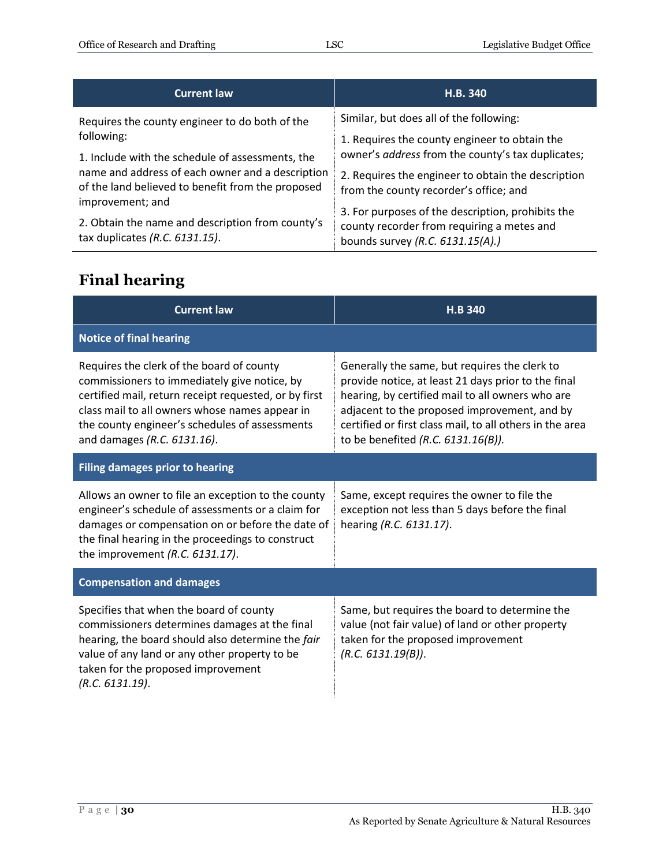| <b>Current law</b>                                                                                                        | H.B. 340                                                                                                                            |
|---------------------------------------------------------------------------------------------------------------------------|-------------------------------------------------------------------------------------------------------------------------------------|
| Requires the county engineer to do both of the                                                                            | Similar, but does all of the following:                                                                                             |
| following:<br>1. Include with the schedule of assessments, the                                                            | 1. Requires the county engineer to obtain the<br>owner's address from the county's tax duplicates;                                  |
| name and address of each owner and a description<br>of the land believed to benefit from the proposed<br>improvement; and | 2. Requires the engineer to obtain the description<br>from the county recorder's office; and                                        |
| 2. Obtain the name and description from county's<br>tax duplicates (R.C. 6131.15).                                        | 3. For purposes of the description, prohibits the<br>county recorder from requiring a metes and<br>bounds survey (R.C. 6131.15(A).) |

# <span id="page-29-0"></span>**Final hearing**

| <b>Current law</b>                                                                                                                                                                                                                                                                    | <b>H.B 340</b>                                                                                                                                                                                                                                                                                                |  |
|---------------------------------------------------------------------------------------------------------------------------------------------------------------------------------------------------------------------------------------------------------------------------------------|---------------------------------------------------------------------------------------------------------------------------------------------------------------------------------------------------------------------------------------------------------------------------------------------------------------|--|
| <b>Notice of final hearing</b>                                                                                                                                                                                                                                                        |                                                                                                                                                                                                                                                                                                               |  |
| Requires the clerk of the board of county<br>commissioners to immediately give notice, by<br>certified mail, return receipt requested, or by first<br>class mail to all owners whose names appear in<br>the county engineer's schedules of assessments<br>and damages (R.C. 6131.16). | Generally the same, but requires the clerk to<br>provide notice, at least 21 days prior to the final<br>hearing, by certified mail to all owners who are<br>adjacent to the proposed improvement, and by<br>certified or first class mail, to all others in the area<br>to be benefited (R.C. $6131.16(B)$ ). |  |
| <b>Filing damages prior to hearing</b>                                                                                                                                                                                                                                                |                                                                                                                                                                                                                                                                                                               |  |
| Allows an owner to file an exception to the county<br>engineer's schedule of assessments or a claim for<br>damages or compensation on or before the date of<br>the final hearing in the proceedings to construct<br>the improvement $(R.C. 6131.17)$ .                                | Same, except requires the owner to file the<br>exception not less than 5 days before the final<br>hearing (R.C. 6131.17).                                                                                                                                                                                     |  |
| <b>Compensation and damages</b>                                                                                                                                                                                                                                                       |                                                                                                                                                                                                                                                                                                               |  |
| Specifies that when the board of county<br>commissioners determines damages at the final<br>hearing, the board should also determine the fair<br>value of any land or any other property to be<br>taken for the proposed improvement<br>(R.C. 6131.19).                               | Same, but requires the board to determine the<br>value (not fair value) of land or other property<br>taken for the proposed improvement<br>(R.C. 6131.19(B)).                                                                                                                                                 |  |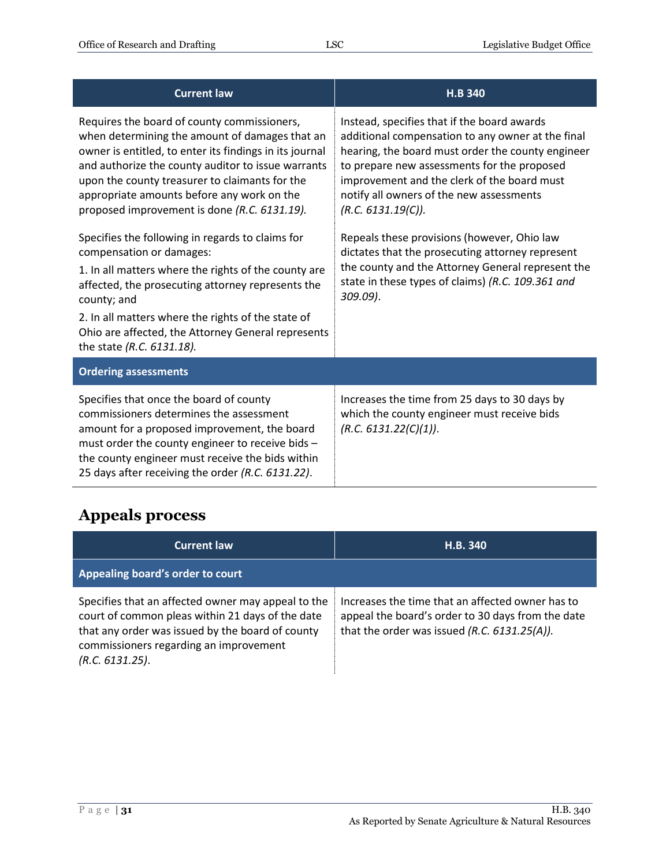| <b>Current law</b>                                                                                                                                                                                                                                                                                                                                             | <b>H.B 340</b>                                                                                                                                                                                                                                                                                                        |
|----------------------------------------------------------------------------------------------------------------------------------------------------------------------------------------------------------------------------------------------------------------------------------------------------------------------------------------------------------------|-----------------------------------------------------------------------------------------------------------------------------------------------------------------------------------------------------------------------------------------------------------------------------------------------------------------------|
| Requires the board of county commissioners,<br>when determining the amount of damages that an<br>owner is entitled, to enter its findings in its journal<br>and authorize the county auditor to issue warrants<br>upon the county treasurer to claimants for the<br>appropriate amounts before any work on the<br>proposed improvement is done (R.C. 6131.19). | Instead, specifies that if the board awards<br>additional compensation to any owner at the final<br>hearing, the board must order the county engineer<br>to prepare new assessments for the proposed<br>improvement and the clerk of the board must<br>notify all owners of the new assessments<br>(R.C. 6131.19(C)). |
| Specifies the following in regards to claims for<br>compensation or damages:<br>1. In all matters where the rights of the county are<br>affected, the prosecuting attorney represents the<br>county; and<br>2. In all matters where the rights of the state of<br>Ohio are affected, the Attorney General represents<br>the state (R.C. 6131.18).              | Repeals these provisions (however, Ohio law<br>dictates that the prosecuting attorney represent<br>the county and the Attorney General represent the<br>state in these types of claims) (R.C. 109.361 and<br>$309.09$ ).                                                                                              |
| <b>Ordering assessments</b>                                                                                                                                                                                                                                                                                                                                    |                                                                                                                                                                                                                                                                                                                       |
| Specifies that once the board of county<br>commissioners determines the assessment<br>amount for a proposed improvement, the board<br>must order the county engineer to receive bids -<br>the county engineer must receive the bids within<br>25 days after receiving the order (R.C. 6131.22).                                                                | Increases the time from 25 days to 30 days by<br>which the county engineer must receive bids<br>(R.C. 6131.22(C)(1)).                                                                                                                                                                                                 |

# <span id="page-30-0"></span>**Appeals process**

| <b>Current law</b>                                                                                                                                                                                                      | H.B. 340                                                                                                                                              |
|-------------------------------------------------------------------------------------------------------------------------------------------------------------------------------------------------------------------------|-------------------------------------------------------------------------------------------------------------------------------------------------------|
| Appealing board's order to court                                                                                                                                                                                        |                                                                                                                                                       |
| Specifies that an affected owner may appeal to the<br>court of common pleas within 21 days of the date<br>that any order was issued by the board of county<br>commissioners regarding an improvement<br>(R.C. 6131.25). | Increases the time that an affected owner has to<br>appeal the board's order to 30 days from the date<br>that the order was issued (R.C. 6131.25(A)). |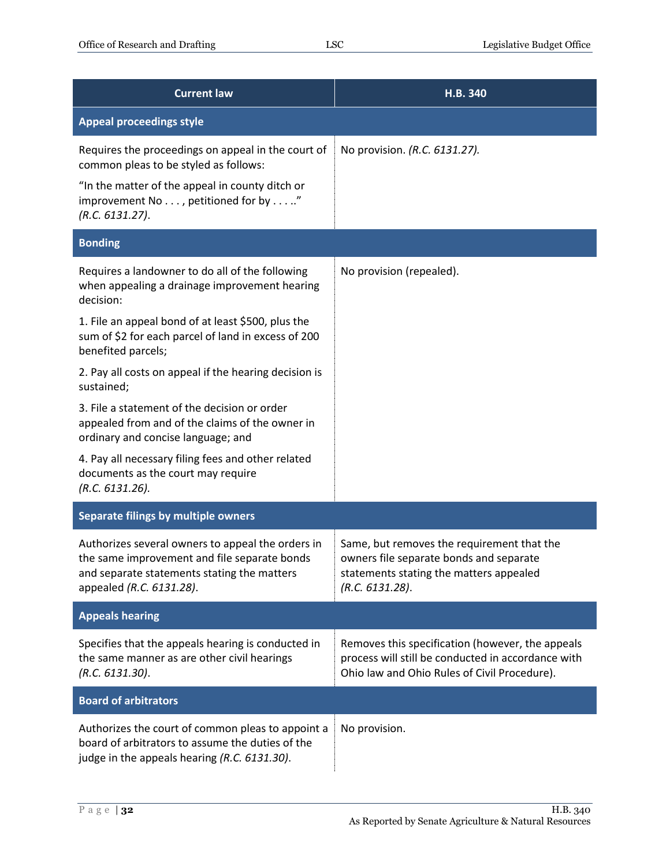| <b>Current law</b>                                                                                                                                                           | H.B. 340                                                                                                                                               |
|------------------------------------------------------------------------------------------------------------------------------------------------------------------------------|--------------------------------------------------------------------------------------------------------------------------------------------------------|
| <b>Appeal proceedings style</b>                                                                                                                                              |                                                                                                                                                        |
| Requires the proceedings on appeal in the court of<br>common pleas to be styled as follows:                                                                                  | No provision. (R.C. 6131.27).                                                                                                                          |
| "In the matter of the appeal in county ditch or<br>improvement No , petitioned for by."<br>(R.C. 6131.27).                                                                   |                                                                                                                                                        |
| <b>Bonding</b>                                                                                                                                                               |                                                                                                                                                        |
| Requires a landowner to do all of the following<br>when appealing a drainage improvement hearing<br>decision:                                                                | No provision (repealed).                                                                                                                               |
| 1. File an appeal bond of at least \$500, plus the<br>sum of \$2 for each parcel of land in excess of 200<br>benefited parcels;                                              |                                                                                                                                                        |
| 2. Pay all costs on appeal if the hearing decision is<br>sustained;                                                                                                          |                                                                                                                                                        |
| 3. File a statement of the decision or order<br>appealed from and of the claims of the owner in<br>ordinary and concise language; and                                        |                                                                                                                                                        |
| 4. Pay all necessary filing fees and other related<br>documents as the court may require<br>(R.C. 6131.26).                                                                  |                                                                                                                                                        |
| Separate filings by multiple owners                                                                                                                                          |                                                                                                                                                        |
| Authorizes several owners to appeal the orders in<br>the same improvement and file separate bonds<br>and separate statements stating the matters<br>appealed (R.C. 6131.28). | Same, but removes the requirement that the<br>owners file separate bonds and separate<br>statements stating the matters appealed<br>(R.C. 6131.28).    |
| <b>Appeals hearing</b>                                                                                                                                                       |                                                                                                                                                        |
| Specifies that the appeals hearing is conducted in<br>the same manner as are other civil hearings<br>(R.C. 6131.30).                                                         | Removes this specification (however, the appeals<br>process will still be conducted in accordance with<br>Ohio law and Ohio Rules of Civil Procedure). |
| <b>Board of arbitrators</b>                                                                                                                                                  |                                                                                                                                                        |
| Authorizes the court of common pleas to appoint a<br>board of arbitrators to assume the duties of the<br>judge in the appeals hearing (R.C. 6131.30).                        | No provision.                                                                                                                                          |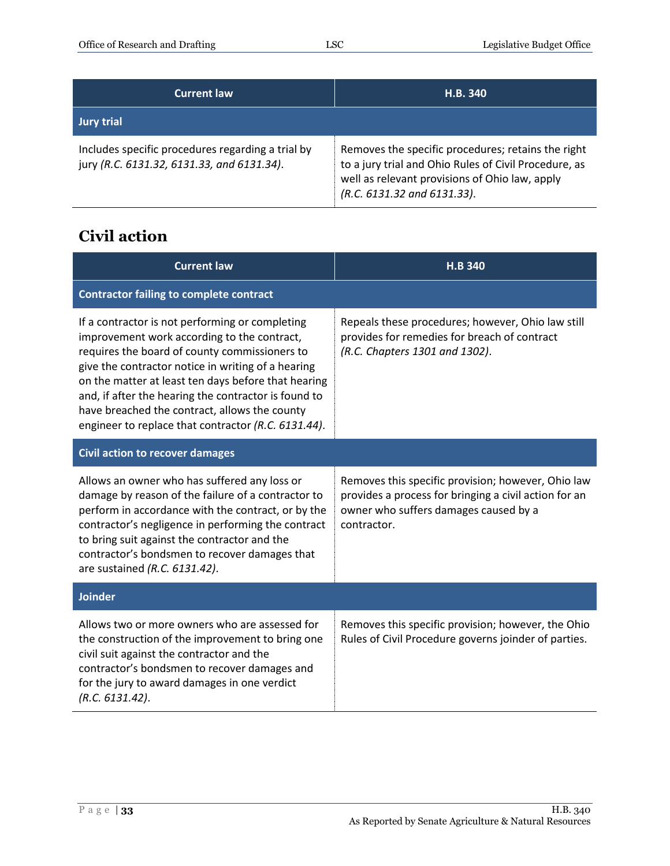| <b>Current law</b>                                                                              | <b>H.B. 340</b>                                                                                                                                                                              |
|-------------------------------------------------------------------------------------------------|----------------------------------------------------------------------------------------------------------------------------------------------------------------------------------------------|
| <b>Jury trial</b>                                                                               |                                                                                                                                                                                              |
| Includes specific procedures regarding a trial by<br>jury (R.C. 6131.32, 6131.33, and 6131.34). | Removes the specific procedures; retains the right<br>to a jury trial and Ohio Rules of Civil Procedure, as<br>well as relevant provisions of Ohio law, apply<br>(R.C. 6131.32 and 6131.33). |

#### <span id="page-32-0"></span>**Civil action**

| <b>Current law</b>                                                                                                                                                                                                                                                                                                                                                                                                           | <b>H.B 340</b>                                                                                                                                                      |
|------------------------------------------------------------------------------------------------------------------------------------------------------------------------------------------------------------------------------------------------------------------------------------------------------------------------------------------------------------------------------------------------------------------------------|---------------------------------------------------------------------------------------------------------------------------------------------------------------------|
| <b>Contractor failing to complete contract</b>                                                                                                                                                                                                                                                                                                                                                                               |                                                                                                                                                                     |
| If a contractor is not performing or completing<br>improvement work according to the contract,<br>requires the board of county commissioners to<br>give the contractor notice in writing of a hearing<br>on the matter at least ten days before that hearing<br>and, if after the hearing the contractor is found to<br>have breached the contract, allows the county<br>engineer to replace that contractor (R.C. 6131.44). | Repeals these procedures; however, Ohio law still<br>provides for remedies for breach of contract<br>(R.C. Chapters 1301 and 1302).                                 |
| <b>Civil action to recover damages</b>                                                                                                                                                                                                                                                                                                                                                                                       |                                                                                                                                                                     |
| Allows an owner who has suffered any loss or<br>damage by reason of the failure of a contractor to<br>perform in accordance with the contract, or by the<br>contractor's negligence in performing the contract<br>to bring suit against the contractor and the<br>contractor's bondsmen to recover damages that<br>are sustained (R.C. 6131.42).                                                                             | Removes this specific provision; however, Ohio law<br>provides a process for bringing a civil action for an<br>owner who suffers damages caused by a<br>contractor. |
| <b>Joinder</b>                                                                                                                                                                                                                                                                                                                                                                                                               |                                                                                                                                                                     |
| Allows two or more owners who are assessed for<br>the construction of the improvement to bring one<br>civil suit against the contractor and the<br>contractor's bondsmen to recover damages and<br>for the jury to award damages in one verdict<br>(R.C. 6131.42).                                                                                                                                                           | Removes this specific provision; however, the Ohio<br>Rules of Civil Procedure governs joinder of parties.                                                          |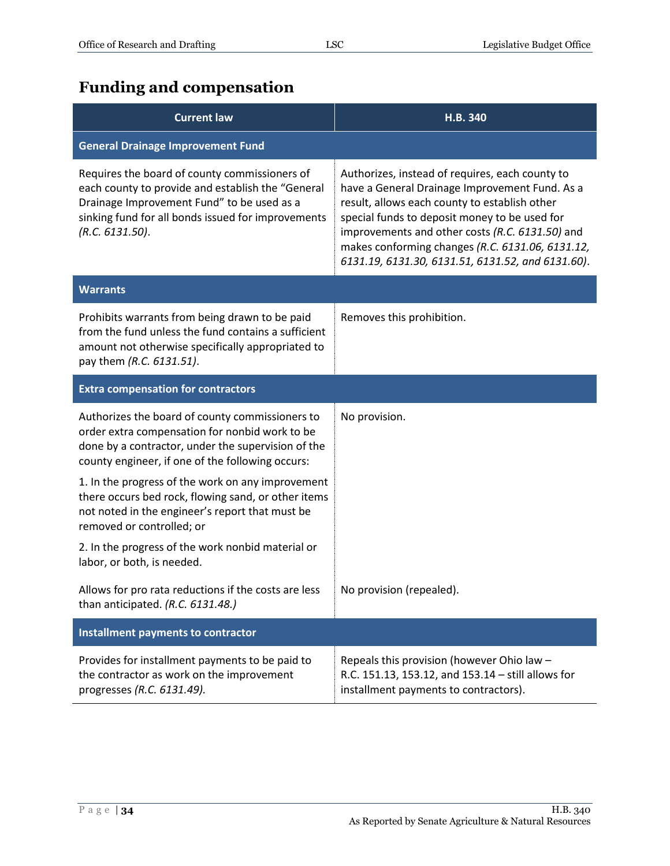# <span id="page-33-0"></span>**Funding and compensation**

| <b>Current law</b>                                                                                                                                                                                                        | H.B. 340                                                                                                                                                                                                                                                                                                                                                        |
|---------------------------------------------------------------------------------------------------------------------------------------------------------------------------------------------------------------------------|-----------------------------------------------------------------------------------------------------------------------------------------------------------------------------------------------------------------------------------------------------------------------------------------------------------------------------------------------------------------|
| <b>General Drainage Improvement Fund</b>                                                                                                                                                                                  |                                                                                                                                                                                                                                                                                                                                                                 |
| Requires the board of county commissioners of<br>each county to provide and establish the "General<br>Drainage Improvement Fund" to be used as a<br>sinking fund for all bonds issued for improvements<br>(R.C. 6131.50). | Authorizes, instead of requires, each county to<br>have a General Drainage Improvement Fund. As a<br>result, allows each county to establish other<br>special funds to deposit money to be used for<br>improvements and other costs (R.C. 6131.50) and<br>makes conforming changes (R.C. 6131.06, 6131.12,<br>6131.19, 6131.30, 6131.51, 6131.52, and 6131.60). |
| <b>Warrants</b>                                                                                                                                                                                                           |                                                                                                                                                                                                                                                                                                                                                                 |
| Prohibits warrants from being drawn to be paid<br>from the fund unless the fund contains a sufficient<br>amount not otherwise specifically appropriated to<br>pay them (R.C. 6131.51).                                    | Removes this prohibition.                                                                                                                                                                                                                                                                                                                                       |
| <b>Extra compensation for contractors</b>                                                                                                                                                                                 |                                                                                                                                                                                                                                                                                                                                                                 |
| Authorizes the board of county commissioners to<br>order extra compensation for nonbid work to be<br>done by a contractor, under the supervision of the<br>county engineer, if one of the following occurs:               | No provision.                                                                                                                                                                                                                                                                                                                                                   |
| 1. In the progress of the work on any improvement<br>there occurs bed rock, flowing sand, or other items<br>not noted in the engineer's report that must be<br>removed or controlled; or                                  |                                                                                                                                                                                                                                                                                                                                                                 |
| 2. In the progress of the work nonbid material or<br>labor, or both, is needed.                                                                                                                                           |                                                                                                                                                                                                                                                                                                                                                                 |
| Allows for pro rata reductions if the costs are less<br>than anticipated. (R.C. 6131.48.)                                                                                                                                 | No provision (repealed).                                                                                                                                                                                                                                                                                                                                        |
| Installment payments to contractor                                                                                                                                                                                        |                                                                                                                                                                                                                                                                                                                                                                 |
| Provides for installment payments to be paid to<br>the contractor as work on the improvement<br>progresses (R.C. 6131.49).                                                                                                | Repeals this provision (however Ohio law -<br>R.C. 151.13, 153.12, and 153.14 - still allows for<br>installment payments to contractors).                                                                                                                                                                                                                       |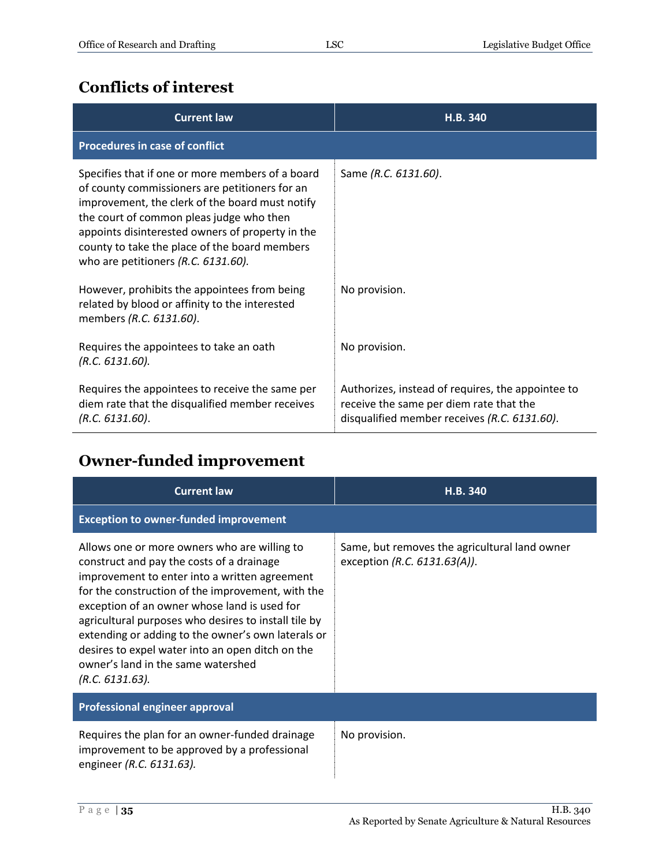#### <span id="page-34-0"></span>**Conflicts of interest**

| <b>Current law</b>                                                                                                                                                                                                                                                                                                                            | H.B. 340                                                                                                                                     |
|-----------------------------------------------------------------------------------------------------------------------------------------------------------------------------------------------------------------------------------------------------------------------------------------------------------------------------------------------|----------------------------------------------------------------------------------------------------------------------------------------------|
| <b>Procedures in case of conflict</b>                                                                                                                                                                                                                                                                                                         |                                                                                                                                              |
| Specifies that if one or more members of a board<br>of county commissioners are petitioners for an<br>improvement, the clerk of the board must notify<br>the court of common pleas judge who then<br>appoints disinterested owners of property in the<br>county to take the place of the board members<br>who are petitioners (R.C. 6131.60). | Same (R.C. 6131.60).                                                                                                                         |
| However, prohibits the appointees from being<br>related by blood or affinity to the interested<br>members (R.C. 6131.60).                                                                                                                                                                                                                     | No provision.                                                                                                                                |
| Requires the appointees to take an oath<br>(R.C. 6131.60).                                                                                                                                                                                                                                                                                    | No provision.                                                                                                                                |
| Requires the appointees to receive the same per<br>diem rate that the disqualified member receives<br>(R.C. 6131.60).                                                                                                                                                                                                                         | Authorizes, instead of requires, the appointee to<br>receive the same per diem rate that the<br>disqualified member receives (R.C. 6131.60). |

### <span id="page-34-1"></span>**Owner-funded improvement**

| <b>Current law</b>                                                                                                                                                                                                                                                                                                                                                                                                                                                         | H.B. 340                                                                         |
|----------------------------------------------------------------------------------------------------------------------------------------------------------------------------------------------------------------------------------------------------------------------------------------------------------------------------------------------------------------------------------------------------------------------------------------------------------------------------|----------------------------------------------------------------------------------|
| <b>Exception to owner-funded improvement</b>                                                                                                                                                                                                                                                                                                                                                                                                                               |                                                                                  |
| Allows one or more owners who are willing to<br>construct and pay the costs of a drainage<br>improvement to enter into a written agreement<br>for the construction of the improvement, with the<br>exception of an owner whose land is used for<br>agricultural purposes who desires to install tile by<br>extending or adding to the owner's own laterals or<br>desires to expel water into an open ditch on the<br>owner's land in the same watershed<br>(R.C. 6131.63). | Same, but removes the agricultural land owner<br>exception (R.C. $6131.63(A)$ ). |
| Professional engineer approval                                                                                                                                                                                                                                                                                                                                                                                                                                             |                                                                                  |
| Requires the plan for an owner-funded drainage<br>improvement to be approved by a professional<br>engineer (R.C. 6131.63).                                                                                                                                                                                                                                                                                                                                                 | No provision.                                                                    |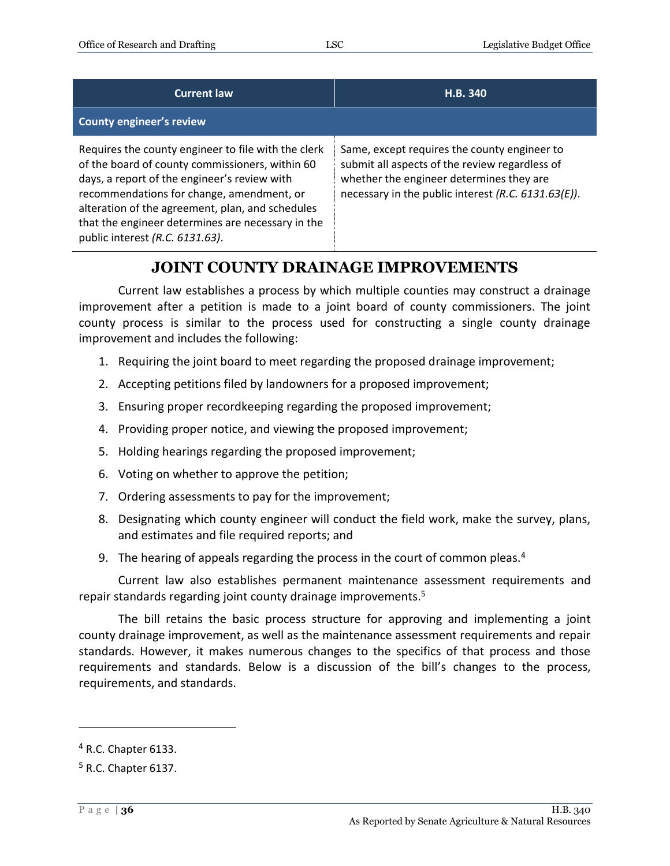| <b>Current law</b>                                                                                                                                                                                                                                                                                                                              | H.B. 340                                                                                                                                                                                          |
|-------------------------------------------------------------------------------------------------------------------------------------------------------------------------------------------------------------------------------------------------------------------------------------------------------------------------------------------------|---------------------------------------------------------------------------------------------------------------------------------------------------------------------------------------------------|
| <b>County engineer's review</b>                                                                                                                                                                                                                                                                                                                 |                                                                                                                                                                                                   |
| Requires the county engineer to file with the clerk<br>of the board of county commissioners, within 60<br>days, a report of the engineer's review with<br>recommendations for change, amendment, or<br>alteration of the agreement, plan, and schedules<br>that the engineer determines are necessary in the<br>public interest (R.C. 6131.63). | Same, except requires the county engineer to<br>submit all aspects of the review regardless of<br>whether the engineer determines they are<br>necessary in the public interest (R.C. 6131.63(E)). |

#### **JOINT COUNTY DRAINAGE IMPROVEMENTS**

<span id="page-35-0"></span>Current law establishes a process by which multiple counties may construct a drainage improvement after a petition is made to a joint board of county commissioners. The joint county process is similar to the process used for constructing a single county drainage improvement and includes the following:

- 1. Requiring the joint board to meet regarding the proposed drainage improvement;
- 2. Accepting petitions filed by landowners for a proposed improvement;
- 3. Ensuring proper recordkeeping regarding the proposed improvement;
- 4. Providing proper notice, and viewing the proposed improvement;
- 5. Holding hearings regarding the proposed improvement;
- 6. Voting on whether to approve the petition;
- 7. Ordering assessments to pay for the improvement;
- 8. Designating which county engineer will conduct the field work, make the survey, plans, and estimates and file required reports; and
- 9. The hearing of appeals regarding the process in the court of common pleas.<sup>4</sup>

Current law also establishes permanent maintenance assessment requirements and repair standards regarding joint county drainage improvements.<sup>5</sup>

The bill retains the basic process structure for approving and implementing a joint county drainage improvement, as well as the maintenance assessment requirements and repair standards. However, it makes numerous changes to the specifics of that process and those requirements and standards. Below is a discussion of the bill's changes to the process, requirements, and standards.

 $\overline{a}$ 

 $<sup>4</sup>$  R.C. Chapter 6133.</sup>

 $<sup>5</sup>$  R.C. Chapter 6137.</sup>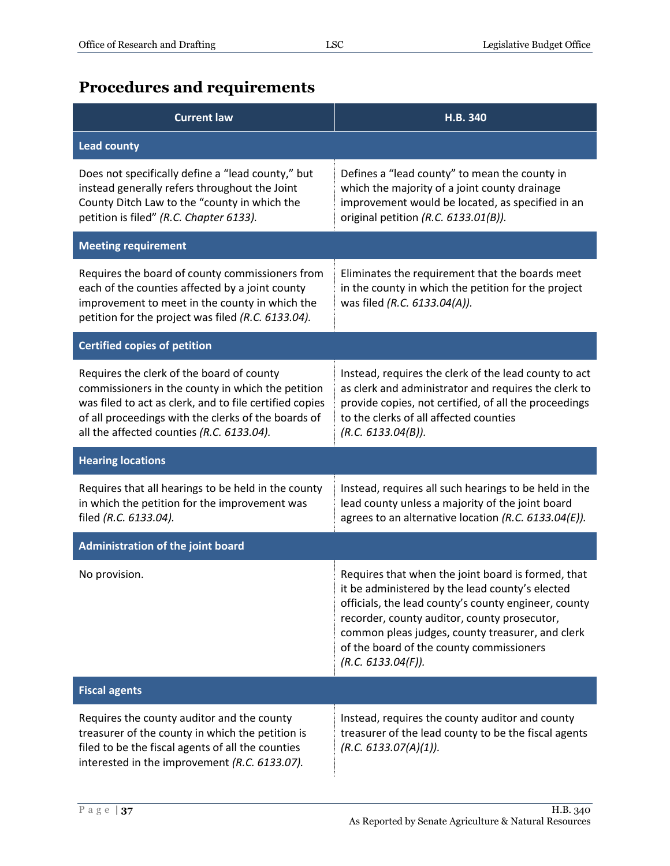### <span id="page-36-0"></span>**Procedures and requirements**

| <b>Current law</b>                                                                                                                                                                                                                                            | H.B. 340                                                                                                                                                                                                                                                                                                                            |
|---------------------------------------------------------------------------------------------------------------------------------------------------------------------------------------------------------------------------------------------------------------|-------------------------------------------------------------------------------------------------------------------------------------------------------------------------------------------------------------------------------------------------------------------------------------------------------------------------------------|
| <b>Lead county</b>                                                                                                                                                                                                                                            |                                                                                                                                                                                                                                                                                                                                     |
| Does not specifically define a "lead county," but<br>instead generally refers throughout the Joint<br>County Ditch Law to the "county in which the<br>petition is filed" (R.C. Chapter 6133).                                                                 | Defines a "lead county" to mean the county in<br>which the majority of a joint county drainage<br>improvement would be located, as specified in an<br>original petition (R.C. 6133.01(B)).                                                                                                                                          |
| <b>Meeting requirement</b>                                                                                                                                                                                                                                    |                                                                                                                                                                                                                                                                                                                                     |
| Requires the board of county commissioners from<br>each of the counties affected by a joint county<br>improvement to meet in the county in which the<br>petition for the project was filed (R.C. 6133.04).                                                    | Eliminates the requirement that the boards meet<br>in the county in which the petition for the project<br>was filed (R.C. 6133.04(A)).                                                                                                                                                                                              |
| <b>Certified copies of petition</b>                                                                                                                                                                                                                           |                                                                                                                                                                                                                                                                                                                                     |
| Requires the clerk of the board of county<br>commissioners in the county in which the petition<br>was filed to act as clerk, and to file certified copies<br>of all proceedings with the clerks of the boards of<br>all the affected counties (R.C. 6133.04). | Instead, requires the clerk of the lead county to act<br>as clerk and administrator and requires the clerk to<br>provide copies, not certified, of all the proceedings<br>to the clerks of all affected counties<br>(R.C. 6133.04(B)).                                                                                              |
| <b>Hearing locations</b>                                                                                                                                                                                                                                      |                                                                                                                                                                                                                                                                                                                                     |
| Requires that all hearings to be held in the county<br>in which the petition for the improvement was<br>filed (R.C. 6133.04).                                                                                                                                 | Instead, requires all such hearings to be held in the<br>lead county unless a majority of the joint board<br>agrees to an alternative location (R.C. 6133.04(E)).                                                                                                                                                                   |
| <b>Administration of the joint board</b>                                                                                                                                                                                                                      |                                                                                                                                                                                                                                                                                                                                     |
| No provision.                                                                                                                                                                                                                                                 | Requires that when the joint board is formed, that<br>it be administered by the lead county's elected<br>officials, the lead county's county engineer, county<br>recorder, county auditor, county prosecutor,<br>common pleas judges, county treasurer, and clerk<br>of the board of the county commissioners<br>(R.C. 6133.04(F)). |
| <b>Fiscal agents</b>                                                                                                                                                                                                                                          |                                                                                                                                                                                                                                                                                                                                     |
| Requires the county auditor and the county<br>treasurer of the county in which the petition is<br>filed to be the fiscal agents of all the counties<br>interested in the improvement (R.C. 6133.07).                                                          | Instead, requires the county auditor and county<br>treasurer of the lead county to be the fiscal agents<br>(R.C. 6133.07(A)(1)).                                                                                                                                                                                                    |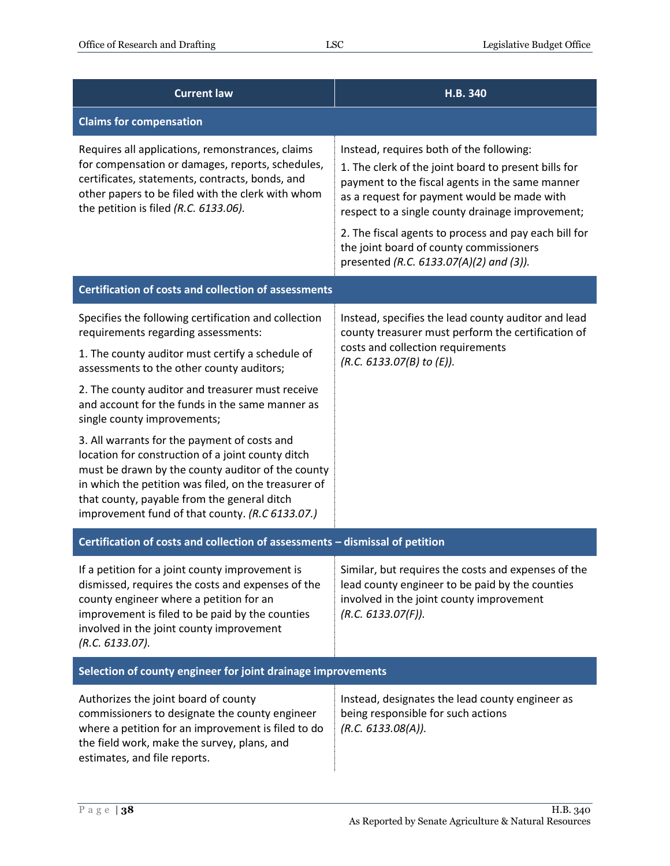| <b>Current law</b>                                                                                                                                                                                                                                                                                               | H.B. 340                                                                                                                                                                                                                                                                                                                                                   |
|------------------------------------------------------------------------------------------------------------------------------------------------------------------------------------------------------------------------------------------------------------------------------------------------------------------|------------------------------------------------------------------------------------------------------------------------------------------------------------------------------------------------------------------------------------------------------------------------------------------------------------------------------------------------------------|
| <b>Claims for compensation</b>                                                                                                                                                                                                                                                                                   |                                                                                                                                                                                                                                                                                                                                                            |
| Requires all applications, remonstrances, claims<br>for compensation or damages, reports, schedules,<br>certificates, statements, contracts, bonds, and<br>other papers to be filed with the clerk with whom<br>the petition is filed (R.C. 6133.06).                                                            | Instead, requires both of the following:<br>1. The clerk of the joint board to present bills for<br>payment to the fiscal agents in the same manner<br>as a request for payment would be made with<br>respect to a single county drainage improvement;<br>2. The fiscal agents to process and pay each bill for<br>the joint board of county commissioners |
|                                                                                                                                                                                                                                                                                                                  | presented (R.C. 6133.07(A)(2) and (3)).                                                                                                                                                                                                                                                                                                                    |
| <b>Certification of costs and collection of assessments</b>                                                                                                                                                                                                                                                      |                                                                                                                                                                                                                                                                                                                                                            |
| Specifies the following certification and collection<br>requirements regarding assessments:                                                                                                                                                                                                                      | Instead, specifies the lead county auditor and lead<br>county treasurer must perform the certification of                                                                                                                                                                                                                                                  |
| 1. The county auditor must certify a schedule of<br>assessments to the other county auditors;                                                                                                                                                                                                                    | costs and collection requirements<br>(R.C. 6133.07(B) to (E)).                                                                                                                                                                                                                                                                                             |
| 2. The county auditor and treasurer must receive<br>and account for the funds in the same manner as<br>single county improvements;                                                                                                                                                                               |                                                                                                                                                                                                                                                                                                                                                            |
| 3. All warrants for the payment of costs and<br>location for construction of a joint county ditch<br>must be drawn by the county auditor of the county<br>in which the petition was filed, on the treasurer of<br>that county, payable from the general ditch<br>improvement fund of that county. (R.C 6133.07.) |                                                                                                                                                                                                                                                                                                                                                            |
| Certification of costs and collection of assessments - dismissal of petition                                                                                                                                                                                                                                     |                                                                                                                                                                                                                                                                                                                                                            |
| If a petition for a joint county improvement is<br>dismissed, requires the costs and expenses of the<br>county engineer where a petition for an<br>improvement is filed to be paid by the counties<br>involved in the joint county improvement<br>(R.C. 6133.07).                                                | Similar, but requires the costs and expenses of the<br>lead county engineer to be paid by the counties<br>involved in the joint county improvement<br>(R.C. 6133.07(F)).                                                                                                                                                                                   |
| Selection of county engineer for joint drainage improvements                                                                                                                                                                                                                                                     |                                                                                                                                                                                                                                                                                                                                                            |
| Authorizes the joint board of county<br>commissioners to designate the county engineer<br>where a petition for an improvement is filed to do<br>the field work, make the survey, plans, and<br>estimates, and file reports.                                                                                      | Instead, designates the lead county engineer as<br>being responsible for such actions<br>(R.C. 6133.08(A)).                                                                                                                                                                                                                                                |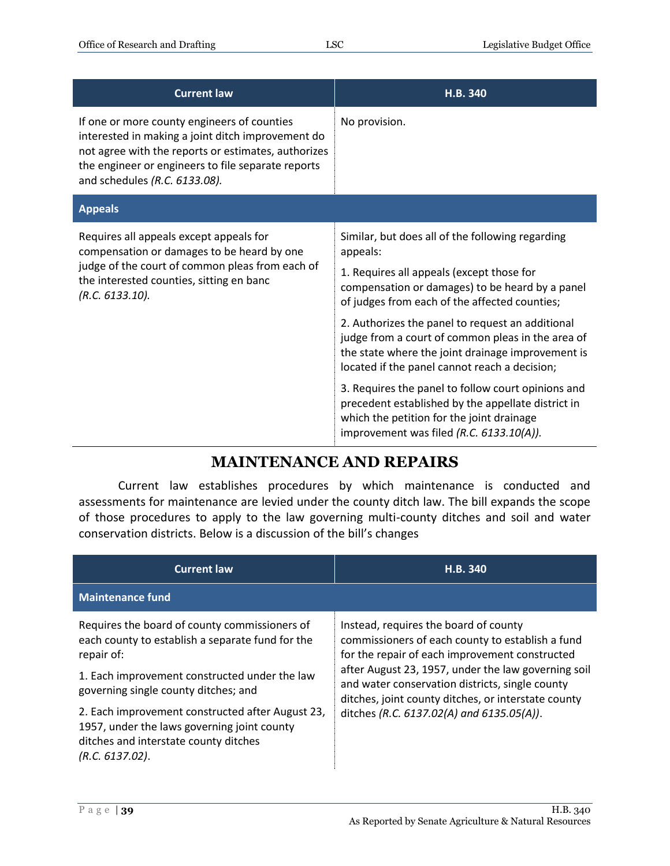| <b>Current law</b>                                                                                                                                                                                                                             | H.B. 340                                                                                                                                                                                                                                                          |
|------------------------------------------------------------------------------------------------------------------------------------------------------------------------------------------------------------------------------------------------|-------------------------------------------------------------------------------------------------------------------------------------------------------------------------------------------------------------------------------------------------------------------|
| If one or more county engineers of counties<br>interested in making a joint ditch improvement do<br>not agree with the reports or estimates, authorizes<br>the engineer or engineers to file separate reports<br>and schedules (R.C. 6133.08). | No provision.                                                                                                                                                                                                                                                     |
| <b>Appeals</b>                                                                                                                                                                                                                                 |                                                                                                                                                                                                                                                                   |
| Requires all appeals except appeals for<br>compensation or damages to be heard by one<br>judge of the court of common pleas from each of<br>the interested counties, sitting en banc<br>(R.C. 6133.10).                                        | Similar, but does all of the following regarding<br>appeals:<br>1. Requires all appeals (except those for<br>compensation or damages) to be heard by a panel<br>of judges from each of the affected counties;<br>2. Authorizes the panel to request an additional |
|                                                                                                                                                                                                                                                | judge from a court of common pleas in the area of<br>the state where the joint drainage improvement is<br>located if the panel cannot reach a decision;                                                                                                           |
|                                                                                                                                                                                                                                                | 3. Requires the panel to follow court opinions and<br>precedent established by the appellate district in<br>which the petition for the joint drainage<br>improvement was filed (R.C. 6133.10(A)).                                                                 |

#### **MAINTENANCE AND REPAIRS**

<span id="page-38-0"></span>Current law establishes procedures by which maintenance is conducted and assessments for maintenance are levied under the county ditch law. The bill expands the scope of those procedures to apply to the law governing multi-county ditches and soil and water conservation districts. Below is a discussion of the bill's changes

| <b>Current law</b>                                                                                                                                          | H.B. 340                                                                                                                                                      |
|-------------------------------------------------------------------------------------------------------------------------------------------------------------|---------------------------------------------------------------------------------------------------------------------------------------------------------------|
| <b>Maintenance fund</b>                                                                                                                                     |                                                                                                                                                               |
| Requires the board of county commissioners of<br>each county to establish a separate fund for the<br>repair of:                                             | Instead, requires the board of county<br>commissioners of each county to establish a fund<br>for the repair of each improvement constructed                   |
| 1. Each improvement constructed under the law<br>governing single county ditches; and                                                                       | after August 23, 1957, under the law governing soil<br>and water conservation districts, single county<br>ditches, joint county ditches, or interstate county |
| 2. Each improvement constructed after August 23,<br>1957, under the laws governing joint county<br>ditches and interstate county ditches<br>(R.C. 6137.02). | ditches (R.C. 6137.02(A) and 6135.05(A)).                                                                                                                     |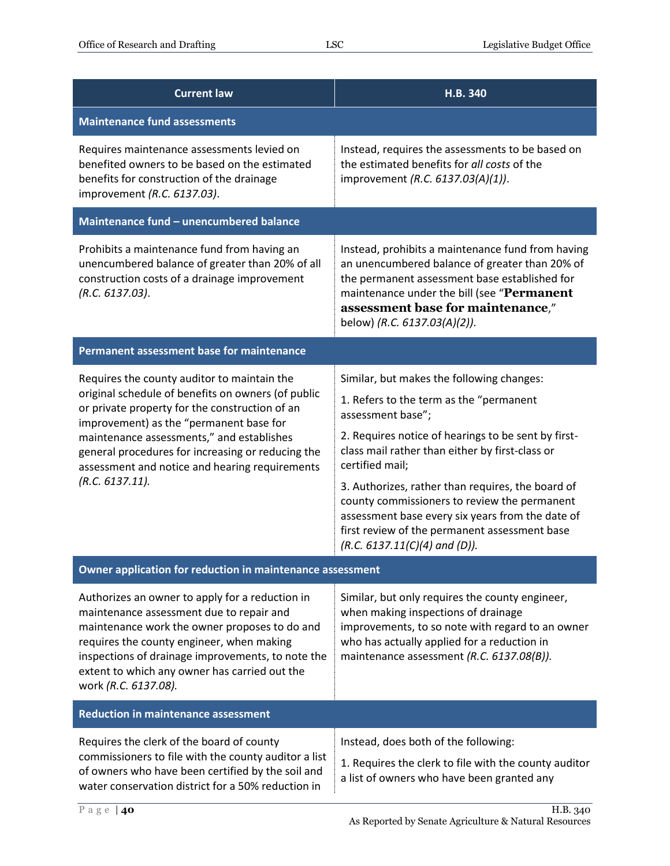| <b>Current law</b>                                                                                                                                                                                                                                                                                                                                                    | H.B. 340                                                                                                                                                                                                                                                                                                                                                                                                                                                                            |
|-----------------------------------------------------------------------------------------------------------------------------------------------------------------------------------------------------------------------------------------------------------------------------------------------------------------------------------------------------------------------|-------------------------------------------------------------------------------------------------------------------------------------------------------------------------------------------------------------------------------------------------------------------------------------------------------------------------------------------------------------------------------------------------------------------------------------------------------------------------------------|
| <b>Maintenance fund assessments</b>                                                                                                                                                                                                                                                                                                                                   |                                                                                                                                                                                                                                                                                                                                                                                                                                                                                     |
| Requires maintenance assessments levied on<br>benefited owners to be based on the estimated<br>benefits for construction of the drainage<br>improvement (R.C. 6137.03).                                                                                                                                                                                               | Instead, requires the assessments to be based on<br>the estimated benefits for all costs of the<br>improvement (R.C. 6137.03(A)(1)).                                                                                                                                                                                                                                                                                                                                                |
| Maintenance fund - unencumbered balance                                                                                                                                                                                                                                                                                                                               |                                                                                                                                                                                                                                                                                                                                                                                                                                                                                     |
| Prohibits a maintenance fund from having an<br>unencumbered balance of greater than 20% of all<br>construction costs of a drainage improvement<br>(R.C. 6137.03).                                                                                                                                                                                                     | Instead, prohibits a maintenance fund from having<br>an unencumbered balance of greater than 20% of<br>the permanent assessment base established for<br>maintenance under the bill (see "Permanent<br>assessment base for maintenance,"<br>below) (R.C. 6137.03(A)(2)).                                                                                                                                                                                                             |
| Permanent assessment base for maintenance                                                                                                                                                                                                                                                                                                                             |                                                                                                                                                                                                                                                                                                                                                                                                                                                                                     |
| Requires the county auditor to maintain the<br>original schedule of benefits on owners (of public<br>or private property for the construction of an<br>improvement) as the "permanent base for<br>maintenance assessments," and establishes<br>general procedures for increasing or reducing the<br>assessment and notice and hearing requirements<br>(R.C. 6137.11). | Similar, but makes the following changes:<br>1. Refers to the term as the "permanent<br>assessment base";<br>2. Requires notice of hearings to be sent by first-<br>class mail rather than either by first-class or<br>certified mail;<br>3. Authorizes, rather than requires, the board of<br>county commissioners to review the permanent<br>assessment base every six years from the date of<br>first review of the permanent assessment base<br>$(R.C. 6137.11(C)(4)$ and (D)). |
| Owner application for reduction in maintenance assessment                                                                                                                                                                                                                                                                                                             |                                                                                                                                                                                                                                                                                                                                                                                                                                                                                     |
| Authorizes an owner to apply for a reduction in<br>maintenance assessment due to repair and<br>maintenance work the owner proposes to do and<br>requires the county engineer, when making<br>inspections of drainage improvements, to note the<br>extent to which any owner has carried out the<br>work (R.C. 6137.08).                                               | Similar, but only requires the county engineer,<br>when making inspections of drainage<br>improvements, to so note with regard to an owner<br>who has actually applied for a reduction in<br>maintenance assessment (R.C. 6137.08(B)).                                                                                                                                                                                                                                              |
| <b>Reduction in maintenance assessment</b>                                                                                                                                                                                                                                                                                                                            |                                                                                                                                                                                                                                                                                                                                                                                                                                                                                     |
| Requires the clerk of the board of county<br>commissioners to file with the county auditor a list<br>of owners who have been certified by the soil and<br>water conservation district for a 50% reduction in                                                                                                                                                          | Instead, does both of the following:<br>1. Requires the clerk to file with the county auditor<br>a list of owners who have been granted any                                                                                                                                                                                                                                                                                                                                         |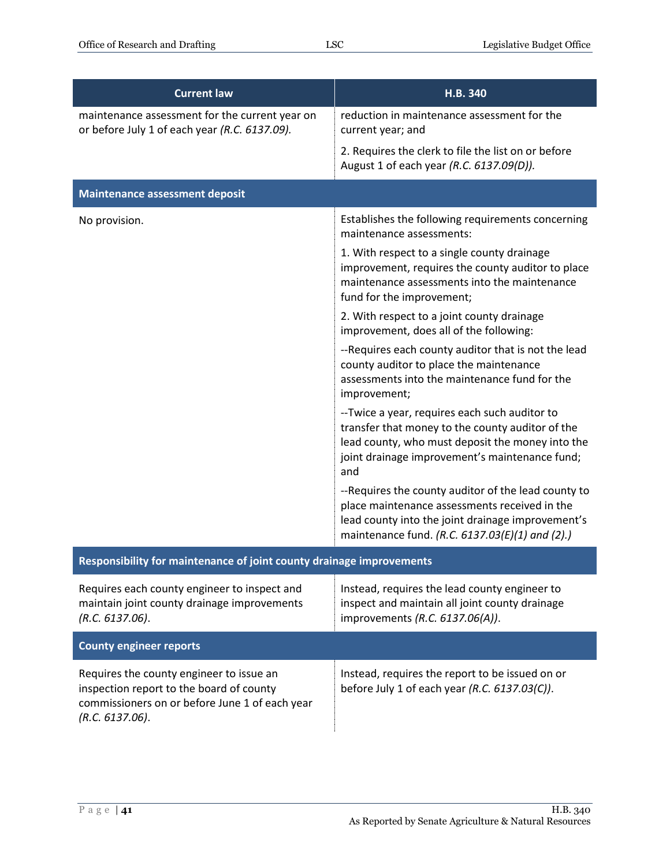| <b>Current law</b>                                                                                                                                        | H.B. 340                                                                                                                                                                                                       |
|-----------------------------------------------------------------------------------------------------------------------------------------------------------|----------------------------------------------------------------------------------------------------------------------------------------------------------------------------------------------------------------|
| maintenance assessment for the current year on<br>or before July 1 of each year (R.C. 6137.09).                                                           | reduction in maintenance assessment for the<br>current year; and                                                                                                                                               |
|                                                                                                                                                           | 2. Requires the clerk to file the list on or before<br>August 1 of each year (R.C. 6137.09(D)).                                                                                                                |
| <b>Maintenance assessment deposit</b>                                                                                                                     |                                                                                                                                                                                                                |
| No provision.                                                                                                                                             | Establishes the following requirements concerning<br>maintenance assessments:                                                                                                                                  |
|                                                                                                                                                           | 1. With respect to a single county drainage<br>improvement, requires the county auditor to place<br>maintenance assessments into the maintenance<br>fund for the improvement;                                  |
|                                                                                                                                                           | 2. With respect to a joint county drainage<br>improvement, does all of the following:                                                                                                                          |
|                                                                                                                                                           | --Requires each county auditor that is not the lead<br>county auditor to place the maintenance<br>assessments into the maintenance fund for the<br>improvement;                                                |
|                                                                                                                                                           | --Twice a year, requires each such auditor to<br>transfer that money to the county auditor of the<br>lead county, who must deposit the money into the<br>joint drainage improvement's maintenance fund;<br>and |
|                                                                                                                                                           | --Requires the county auditor of the lead county to<br>place maintenance assessments received in the<br>lead county into the joint drainage improvement's<br>maintenance fund. (R.C. 6137.03(E)(1) and (2).)   |
| Responsibility for maintenance of joint county drainage improvements                                                                                      |                                                                                                                                                                                                                |
| Requires each county engineer to inspect and<br>maintain joint county drainage improvements<br>(R.C. 6137.06).                                            | Instead, requires the lead county engineer to<br>inspect and maintain all joint county drainage<br>improvements (R.C. 6137.06(A)).                                                                             |
| <b>County engineer reports</b>                                                                                                                            |                                                                                                                                                                                                                |
| Requires the county engineer to issue an<br>inspection report to the board of county<br>commissioners on or before June 1 of each year<br>(R.C. 6137.06). | Instead, requires the report to be issued on or<br>before July 1 of each year (R.C. 6137.03(C)).                                                                                                               |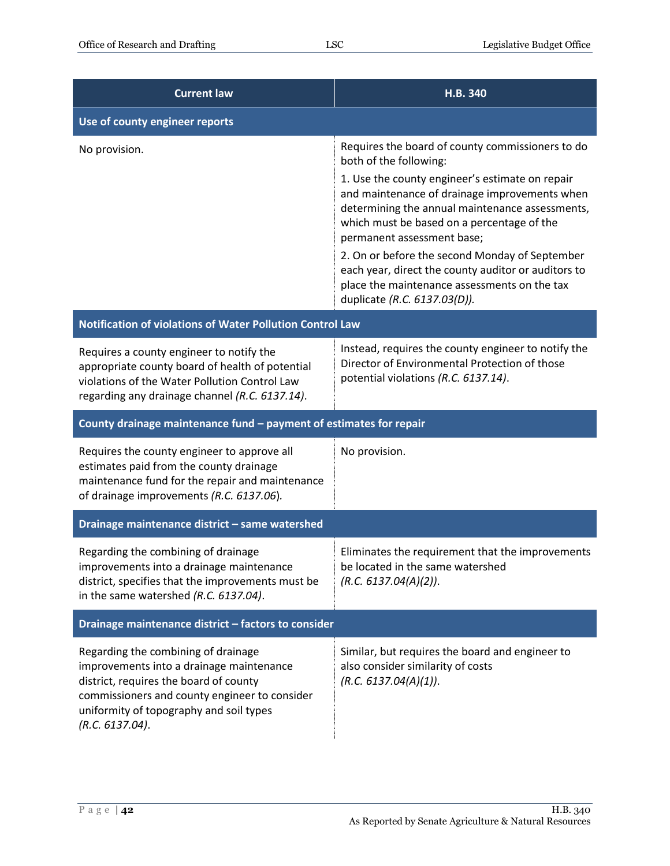| <b>Current law</b>                                                                                                                                                                                                                       | H.B. 340                                                                                                                                                                                                                                                                                                                                 |  |
|------------------------------------------------------------------------------------------------------------------------------------------------------------------------------------------------------------------------------------------|------------------------------------------------------------------------------------------------------------------------------------------------------------------------------------------------------------------------------------------------------------------------------------------------------------------------------------------|--|
| Use of county engineer reports                                                                                                                                                                                                           |                                                                                                                                                                                                                                                                                                                                          |  |
| No provision.                                                                                                                                                                                                                            | Requires the board of county commissioners to do<br>both of the following:                                                                                                                                                                                                                                                               |  |
|                                                                                                                                                                                                                                          | 1. Use the county engineer's estimate on repair<br>and maintenance of drainage improvements when<br>determining the annual maintenance assessments,<br>which must be based on a percentage of the<br>permanent assessment base;<br>2. On or before the second Monday of September<br>each year, direct the county auditor or auditors to |  |
|                                                                                                                                                                                                                                          | place the maintenance assessments on the tax<br>duplicate (R.C. 6137.03(D)).                                                                                                                                                                                                                                                             |  |
| Notification of violations of Water Pollution Control Law                                                                                                                                                                                |                                                                                                                                                                                                                                                                                                                                          |  |
| Requires a county engineer to notify the<br>appropriate county board of health of potential<br>violations of the Water Pollution Control Law<br>regarding any drainage channel (R.C. 6137.14).                                           | Instead, requires the county engineer to notify the<br>Director of Environmental Protection of those<br>potential violations (R.C. 6137.14).                                                                                                                                                                                             |  |
| County drainage maintenance fund - payment of estimates for repair                                                                                                                                                                       |                                                                                                                                                                                                                                                                                                                                          |  |
| Requires the county engineer to approve all<br>estimates paid from the county drainage<br>maintenance fund for the repair and maintenance<br>of drainage improvements (R.C. 6137.06).                                                    | No provision.                                                                                                                                                                                                                                                                                                                            |  |
| Drainage maintenance district - same watershed                                                                                                                                                                                           |                                                                                                                                                                                                                                                                                                                                          |  |
| Regarding the combining of drainage<br>improvements into a drainage maintenance<br>district, specifies that the improvements must be<br>in the same watershed (R.C. 6137.04).                                                            | Eliminates the requirement that the improvements<br>be located in the same watershed<br>(R.C. 6137.04(A)(2)).                                                                                                                                                                                                                            |  |
| Drainage maintenance district - factors to consider                                                                                                                                                                                      |                                                                                                                                                                                                                                                                                                                                          |  |
| Regarding the combining of drainage<br>improvements into a drainage maintenance<br>district, requires the board of county<br>commissioners and county engineer to consider<br>uniformity of topography and soil types<br>(R.C. 6137.04). | Similar, but requires the board and engineer to<br>also consider similarity of costs<br>(R.C. 6137.04(A)(1)).                                                                                                                                                                                                                            |  |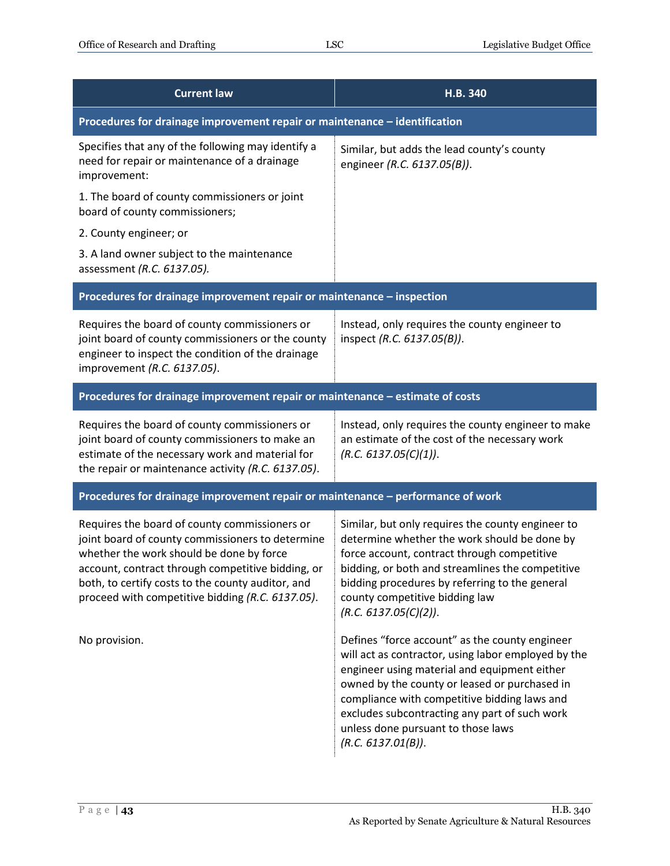| <b>Current law</b>                                                                                                                                                                                                                                                                                          | H.B. 340                                                                                                                                                                                                                                                                                                                                                            |  |
|-------------------------------------------------------------------------------------------------------------------------------------------------------------------------------------------------------------------------------------------------------------------------------------------------------------|---------------------------------------------------------------------------------------------------------------------------------------------------------------------------------------------------------------------------------------------------------------------------------------------------------------------------------------------------------------------|--|
| Procedures for drainage improvement repair or maintenance - identification                                                                                                                                                                                                                                  |                                                                                                                                                                                                                                                                                                                                                                     |  |
| Specifies that any of the following may identify a<br>need for repair or maintenance of a drainage<br>improvement:                                                                                                                                                                                          | Similar, but adds the lead county's county<br>engineer (R.C. 6137.05(B)).                                                                                                                                                                                                                                                                                           |  |
| 1. The board of county commissioners or joint<br>board of county commissioners;                                                                                                                                                                                                                             |                                                                                                                                                                                                                                                                                                                                                                     |  |
| 2. County engineer; or                                                                                                                                                                                                                                                                                      |                                                                                                                                                                                                                                                                                                                                                                     |  |
| 3. A land owner subject to the maintenance<br>assessment (R.C. 6137.05).                                                                                                                                                                                                                                    |                                                                                                                                                                                                                                                                                                                                                                     |  |
| Procedures for drainage improvement repair or maintenance - inspection                                                                                                                                                                                                                                      |                                                                                                                                                                                                                                                                                                                                                                     |  |
| Requires the board of county commissioners or<br>joint board of county commissioners or the county<br>engineer to inspect the condition of the drainage<br>improvement (R.C. 6137.05).                                                                                                                      | Instead, only requires the county engineer to<br>inspect (R.C. 6137.05(B)).                                                                                                                                                                                                                                                                                         |  |
| Procedures for drainage improvement repair or maintenance - estimate of costs                                                                                                                                                                                                                               |                                                                                                                                                                                                                                                                                                                                                                     |  |
| Requires the board of county commissioners or<br>joint board of county commissioners to make an<br>estimate of the necessary work and material for<br>the repair or maintenance activity (R.C. 6137.05).                                                                                                    | Instead, only requires the county engineer to make<br>an estimate of the cost of the necessary work<br>(R.C. 6137.05(C)(1)).                                                                                                                                                                                                                                        |  |
| Procedures for drainage improvement repair or maintenance - performance of work                                                                                                                                                                                                                             |                                                                                                                                                                                                                                                                                                                                                                     |  |
| Requires the board of county commissioners or<br>joint board of county commissioners to determine<br>whether the work should be done by force<br>account, contract through competitive bidding, or<br>both, to certify costs to the county auditor, and<br>proceed with competitive bidding (R.C. 6137.05). | Similar, but only requires the county engineer to<br>determine whether the work should be done by<br>force account, contract through competitive<br>bidding, or both and streamlines the competitive<br>bidding procedures by referring to the general<br>county competitive bidding law<br>(R.C. 6137.05(C)(2)).                                                   |  |
| No provision.                                                                                                                                                                                                                                                                                               | Defines "force account" as the county engineer<br>will act as contractor, using labor employed by the<br>engineer using material and equipment either<br>owned by the county or leased or purchased in<br>compliance with competitive bidding laws and<br>excludes subcontracting any part of such work<br>unless done pursuant to those laws<br>(R.C. 6137.01(B)). |  |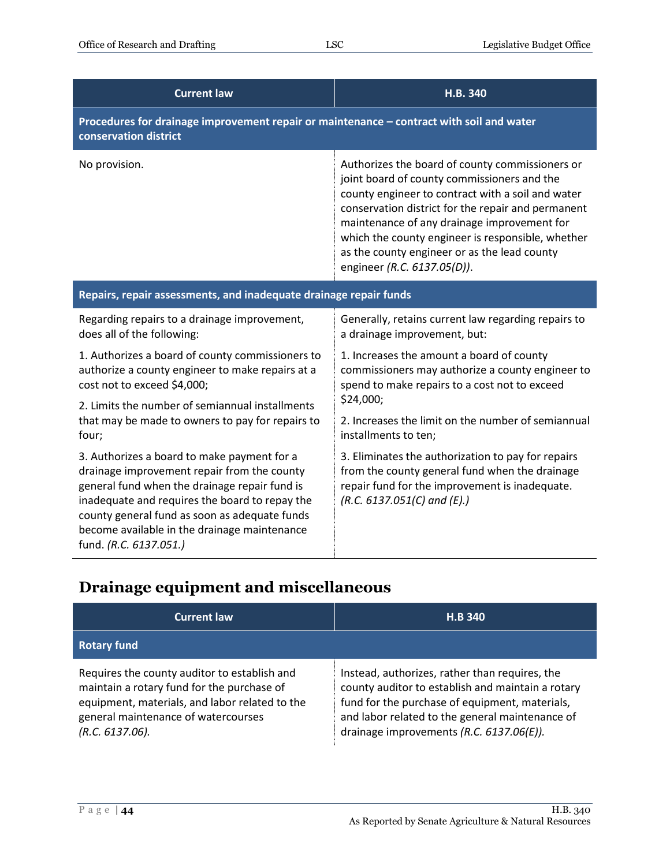| <b>Current law</b>                                                                                                                                                                                                                                                                                                       | H.B. 340                                                                                                                                                                                                                                                                                                                                                                                     |  |
|--------------------------------------------------------------------------------------------------------------------------------------------------------------------------------------------------------------------------------------------------------------------------------------------------------------------------|----------------------------------------------------------------------------------------------------------------------------------------------------------------------------------------------------------------------------------------------------------------------------------------------------------------------------------------------------------------------------------------------|--|
| Procedures for drainage improvement repair or maintenance - contract with soil and water<br>conservation district                                                                                                                                                                                                        |                                                                                                                                                                                                                                                                                                                                                                                              |  |
| No provision.                                                                                                                                                                                                                                                                                                            | Authorizes the board of county commissioners or<br>joint board of county commissioners and the<br>county engineer to contract with a soil and water<br>conservation district for the repair and permanent<br>maintenance of any drainage improvement for<br>which the county engineer is responsible, whether<br>as the county engineer or as the lead county<br>engineer (R.C. 6137.05(D)). |  |
| Repairs, repair assessments, and inadequate drainage repair funds                                                                                                                                                                                                                                                        |                                                                                                                                                                                                                                                                                                                                                                                              |  |
| Regarding repairs to a drainage improvement,<br>does all of the following:                                                                                                                                                                                                                                               | Generally, retains current law regarding repairs to<br>a drainage improvement, but:                                                                                                                                                                                                                                                                                                          |  |
| 1. Authorizes a board of county commissioners to<br>authorize a county engineer to make repairs at a<br>cost not to exceed \$4,000;                                                                                                                                                                                      | 1. Increases the amount a board of county<br>commissioners may authorize a county engineer to<br>spend to make repairs to a cost not to exceed                                                                                                                                                                                                                                               |  |
| 2. Limits the number of semiannual installments<br>that may be made to owners to pay for repairs to                                                                                                                                                                                                                      | \$24,000;<br>2. Increases the limit on the number of semiannual                                                                                                                                                                                                                                                                                                                              |  |
| four;                                                                                                                                                                                                                                                                                                                    | installments to ten;                                                                                                                                                                                                                                                                                                                                                                         |  |
| 3. Authorizes a board to make payment for a<br>drainage improvement repair from the county<br>general fund when the drainage repair fund is<br>inadequate and requires the board to repay the<br>county general fund as soon as adequate funds<br>become available in the drainage maintenance<br>fund. (R.C. 6137.051.) | 3. Eliminates the authorization to pay for repairs<br>from the county general fund when the drainage<br>repair fund for the improvement is inadequate.<br>$(R.C. 6137.051(C)$ and $(E).)$                                                                                                                                                                                                    |  |

#### <span id="page-43-0"></span>**Drainage equipment and miscellaneous**

| <b>Current law</b>                                                                                                                                                                                        | <b>H.B 340</b>                                                                                                                                                                                                                                       |
|-----------------------------------------------------------------------------------------------------------------------------------------------------------------------------------------------------------|------------------------------------------------------------------------------------------------------------------------------------------------------------------------------------------------------------------------------------------------------|
| <b>Rotary fund</b>                                                                                                                                                                                        |                                                                                                                                                                                                                                                      |
| Requires the county auditor to establish and<br>maintain a rotary fund for the purchase of<br>equipment, materials, and labor related to the<br>general maintenance of watercourses<br>$(R.C. 6137.06)$ . | Instead, authorizes, rather than requires, the<br>county auditor to establish and maintain a rotary<br>fund for the purchase of equipment, materials,<br>and labor related to the general maintenance of<br>drainage improvements (R.C. 6137.06(E)). |